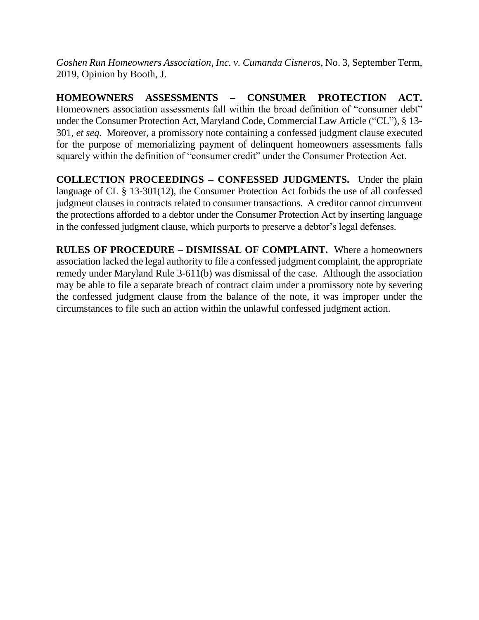*Goshen Run Homeowners Association, Inc. v. Cumanda Cisneros*, No. 3, September Term, 2019, Opinion by Booth, J.

**HOMEOWNERS ASSESSMENTS – CONSUMER PROTECTION ACT.**  Homeowners association assessments fall within the broad definition of "consumer debt" under the Consumer Protection Act, Maryland Code, Commercial Law Article ("CL"), § 13- 301, *et seq.* Moreover, a promissory note containing a confessed judgment clause executed for the purpose of memorializing payment of delinquent homeowners assessments falls squarely within the definition of "consumer credit" under the Consumer Protection Act.

**COLLECTION PROCEEDINGS – CONFESSED JUDGMENTS.** Under the plain language of CL § 13-301(12), the Consumer Protection Act forbids the use of all confessed judgment clauses in contracts related to consumer transactions. A creditor cannot circumvent the protections afforded to a debtor under the Consumer Protection Act by inserting language in the confessed judgment clause, which purports to preserve a debtor's legal defenses.

**RULES OF PROCEDURE – DISMISSAL OF COMPLAINT.** Where a homeowners association lacked the legal authority to file a confessed judgment complaint, the appropriate remedy under Maryland Rule 3-611(b) was dismissal of the case. Although the association may be able to file a separate breach of contract claim under a promissory note by severing the confessed judgment clause from the balance of the note, it was improper under the circumstances to file such an action within the unlawful confessed judgment action.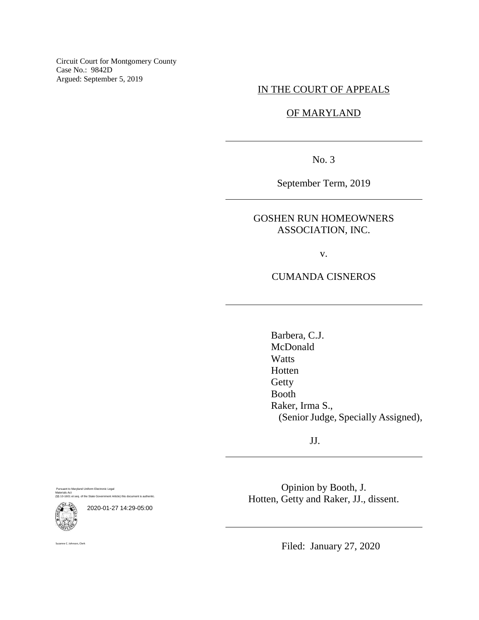Circuit Court for Montgomery County Case No.: 9842D Argued: September 5, 2019

IN THE COURT OF APPEALS

## OF MARYLAND

No. 3

September Term, 2019

## GOSHEN RUN HOMEOWNERS ASSOCIATION, INC.

v.

### CUMANDA CISNEROS

Barbera, C.J. McDonald **Watts** Hotten Getty Booth Raker, Irma S., (Senior Judge, Specially Assigned),

JJ.

Pursuant to Maryland Uniform Electronic Legal Materials Act (§§ 10-1601 et seq. of the State Government Article) this document is authentic.



2020-01-27 14:29-05:00

Opinion by Booth, J. Hotten, Getty and Raker, JJ., dissent.

anne C. Johnson, Clerk

Filed: January 27, 2020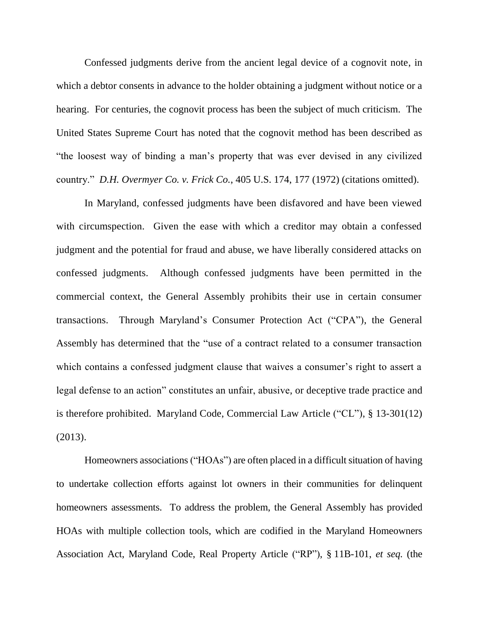Confessed judgments derive from the ancient legal device of a cognovit note, in which a debtor consents in advance to the holder obtaining a judgment without notice or a hearing. For centuries, the cognovit process has been the subject of much criticism. The United States Supreme Court has noted that the cognovit method has been described as "the loosest way of binding a man's property that was ever devised in any civilized country." *D.H. Overmyer Co. v. Frick Co.*, 405 U.S. 174, 177 (1972) (citations omitted).

In Maryland, confessed judgments have been disfavored and have been viewed with circumspection. Given the ease with which a creditor may obtain a confessed judgment and the potential for fraud and abuse, we have liberally considered attacks on confessed judgments. Although confessed judgments have been permitted in the commercial context, the General Assembly prohibits their use in certain consumer transactions. Through Maryland's Consumer Protection Act ("CPA"), the General Assembly has determined that the "use of a contract related to a consumer transaction which contains a confessed judgment clause that waives a consumer's right to assert a legal defense to an action" constitutes an unfair, abusive, or deceptive trade practice and is therefore prohibited. Maryland Code, Commercial Law Article ("CL"), § 13-301(12) (2013).

Homeowners associations ("HOAs") are often placed in a difficult situation of having to undertake collection efforts against lot owners in their communities for delinquent homeowners assessments. To address the problem, the General Assembly has provided HOAs with multiple collection tools, which are codified in the Maryland Homeowners Association Act, Maryland Code, Real Property Article ("RP"), § 11B-101, *et seq.* (the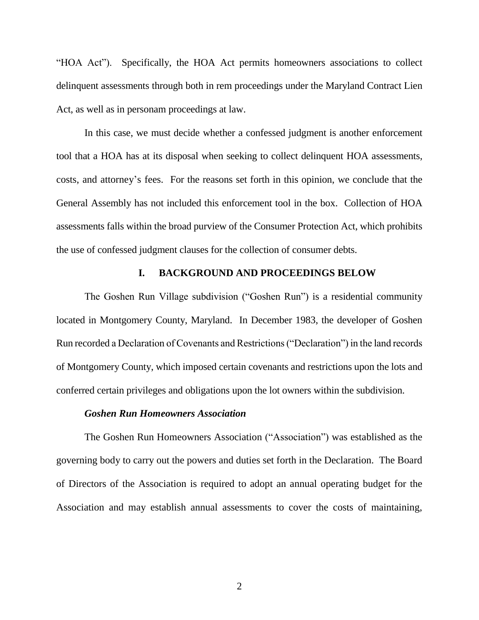"HOA Act"). Specifically, the HOA Act permits homeowners associations to collect delinquent assessments through both in rem proceedings under the Maryland Contract Lien Act, as well as in personam proceedings at law.

In this case, we must decide whether a confessed judgment is another enforcement tool that a HOA has at its disposal when seeking to collect delinquent HOA assessments, costs, and attorney's fees. For the reasons set forth in this opinion, we conclude that the General Assembly has not included this enforcement tool in the box. Collection of HOA assessments falls within the broad purview of the Consumer Protection Act, which prohibits the use of confessed judgment clauses for the collection of consumer debts.

### **I. BACKGROUND AND PROCEEDINGS BELOW**

The Goshen Run Village subdivision ("Goshen Run") is a residential community located in Montgomery County, Maryland. In December 1983, the developer of Goshen Run recorded a Declaration of Covenants and Restrictions ("Declaration") in the land records of Montgomery County, which imposed certain covenants and restrictions upon the lots and conferred certain privileges and obligations upon the lot owners within the subdivision.

#### *Goshen Run Homeowners Association*

The Goshen Run Homeowners Association ("Association") was established as the governing body to carry out the powers and duties set forth in the Declaration. The Board of Directors of the Association is required to adopt an annual operating budget for the Association and may establish annual assessments to cover the costs of maintaining,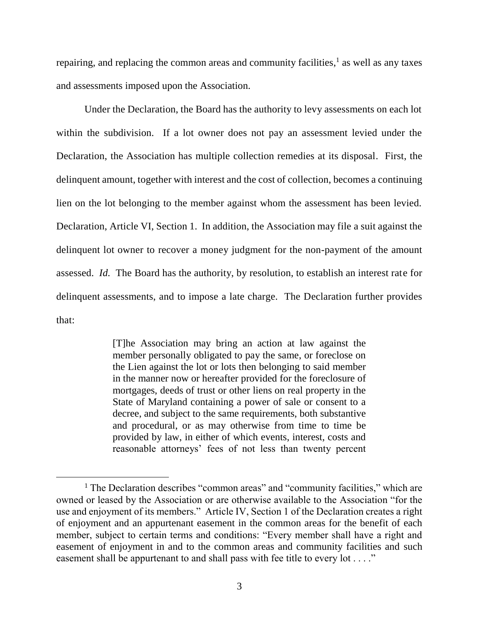repairing, and replacing the common areas and community facilities,<sup>1</sup> as well as any taxes and assessments imposed upon the Association.

Under the Declaration, the Board has the authority to levy assessments on each lot within the subdivision. If a lot owner does not pay an assessment levied under the Declaration, the Association has multiple collection remedies at its disposal. First, the delinquent amount, together with interest and the cost of collection, becomes a continuing lien on the lot belonging to the member against whom the assessment has been levied. Declaration, Article VI, Section 1. In addition, the Association may file a suit against the delinquent lot owner to recover a money judgment for the non-payment of the amount assessed. *Id.* The Board has the authority, by resolution, to establish an interest rate for delinquent assessments, and to impose a late charge. The Declaration further provides that:

> [T]he Association may bring an action at law against the member personally obligated to pay the same, or foreclose on the Lien against the lot or lots then belonging to said member in the manner now or hereafter provided for the foreclosure of mortgages, deeds of trust or other liens on real property in the State of Maryland containing a power of sale or consent to a decree, and subject to the same requirements, both substantive and procedural, or as may otherwise from time to time be provided by law, in either of which events, interest, costs and reasonable attorneys' fees of not less than twenty percent

 $\overline{a}$ 

<sup>&</sup>lt;sup>1</sup> The Declaration describes "common areas" and "community facilities," which are owned or leased by the Association or are otherwise available to the Association "for the use and enjoyment of its members." Article IV, Section 1 of the Declaration creates a right of enjoyment and an appurtenant easement in the common areas for the benefit of each member, subject to certain terms and conditions: "Every member shall have a right and easement of enjoyment in and to the common areas and community facilities and such easement shall be appurtenant to and shall pass with fee title to every lot . . . ."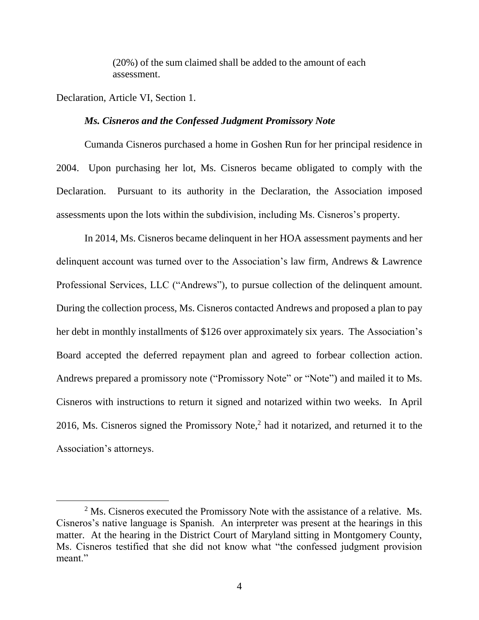(20%) of the sum claimed shall be added to the amount of each assessment.

Declaration, Article VI, Section 1.

#### *Ms. Cisneros and the Confessed Judgment Promissory Note*

Cumanda Cisneros purchased a home in Goshen Run for her principal residence in 2004. Upon purchasing her lot, Ms. Cisneros became obligated to comply with the Declaration. Pursuant to its authority in the Declaration, the Association imposed assessments upon the lots within the subdivision, including Ms. Cisneros's property.

In 2014, Ms. Cisneros became delinquent in her HOA assessment payments and her delinquent account was turned over to the Association's law firm, Andrews & Lawrence Professional Services, LLC ("Andrews"), to pursue collection of the delinquent amount. During the collection process, Ms. Cisneros contacted Andrews and proposed a plan to pay her debt in monthly installments of \$126 over approximately six years. The Association's Board accepted the deferred repayment plan and agreed to forbear collection action. Andrews prepared a promissory note ("Promissory Note" or "Note") and mailed it to Ms. Cisneros with instructions to return it signed and notarized within two weeks. In April 2016, Ms. Cisneros signed the Promissory Note, <sup>2</sup> had it notarized, and returned it to the Association's attorneys.

 $<sup>2</sup>$  Ms. Cisneros executed the Promissory Note with the assistance of a relative. Ms.</sup> Cisneros's native language is Spanish. An interpreter was present at the hearings in this matter. At the hearing in the District Court of Maryland sitting in Montgomery County, Ms. Cisneros testified that she did not know what "the confessed judgment provision meant."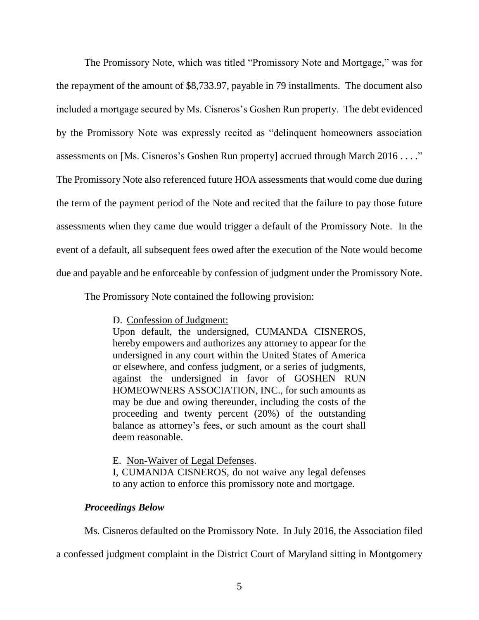The Promissory Note, which was titled "Promissory Note and Mortgage," was for the repayment of the amount of \$8,733.97, payable in 79 installments. The document also included a mortgage secured by Ms. Cisneros's Goshen Run property. The debt evidenced by the Promissory Note was expressly recited as "delinquent homeowners association assessments on [Ms. Cisneros's Goshen Run property] accrued through March 2016 . . . ." The Promissory Note also referenced future HOA assessments that would come due during the term of the payment period of the Note and recited that the failure to pay those future assessments when they came due would trigger a default of the Promissory Note. In the event of a default, all subsequent fees owed after the execution of the Note would become due and payable and be enforceable by confession of judgment under the Promissory Note.

The Promissory Note contained the following provision:

D. Confession of Judgment:

Upon default, the undersigned, CUMANDA CISNEROS, hereby empowers and authorizes any attorney to appear for the undersigned in any court within the United States of America or elsewhere, and confess judgment, or a series of judgments, against the undersigned in favor of GOSHEN RUN HOMEOWNERS ASSOCIATION, INC., for such amounts as may be due and owing thereunder, including the costs of the proceeding and twenty percent (20%) of the outstanding balance as attorney's fees, or such amount as the court shall deem reasonable.

E. Non-Waiver of Legal Defenses.

I, CUMANDA CISNEROS, do not waive any legal defenses to any action to enforce this promissory note and mortgage.

# *Proceedings Below*

Ms. Cisneros defaulted on the Promissory Note. In July 2016, the Association filed

a confessed judgment complaint in the District Court of Maryland sitting in Montgomery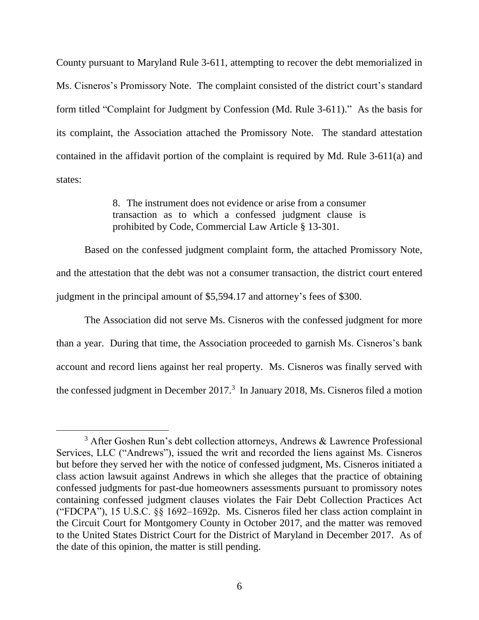County pursuant to Maryland Rule 3-611, attempting to recover the debt memorialized in Ms. Cisneros's Promissory Note. The complaint consisted of the district court's standard form titled "Complaint for Judgment by Confession (Md. Rule 3-611)." As the basis for its complaint, the Association attached the Promissory Note. The standard attestation contained in the affidavit portion of the complaint is required by Md. Rule 3-611(a) and states:

> 8. The instrument does not evidence or arise from a consumer transaction as to which a confessed judgment clause is prohibited by Code, Commercial Law Article § 13-301.

Based on the confessed judgment complaint form, the attached Promissory Note, and the attestation that the debt was not a consumer transaction, the district court entered judgment in the principal amount of \$5,594.17 and attorney's fees of \$300.

The Association did not serve Ms. Cisneros with the confessed judgment for more than a year. During that time, the Association proceeded to garnish Ms. Cisneros's bank account and record liens against her real property. Ms. Cisneros was finally served with the confessed judgment in December 2017. 3 In January 2018, Ms. Cisneros filed a motion

<sup>&</sup>lt;sup>3</sup> After Goshen Run's debt collection attorneys, Andrews & Lawrence Professional Services, LLC ("Andrews"), issued the writ and recorded the liens against Ms. Cisneros but before they served her with the notice of confessed judgment, Ms. Cisneros initiated a class action lawsuit against Andrews in which she alleges that the practice of obtaining confessed judgments for past-due homeowners assessments pursuant to promissory notes containing confessed judgment clauses violates the Fair Debt Collection Practices Act ("FDCPA"), 15 U.S.C. §§ 1692–1692p. Ms. Cisneros filed her class action complaint in the Circuit Court for Montgomery County in October 2017, and the matter was removed to the United States District Court for the District of Maryland in December 2017. As of the date of this opinion, the matter is still pending.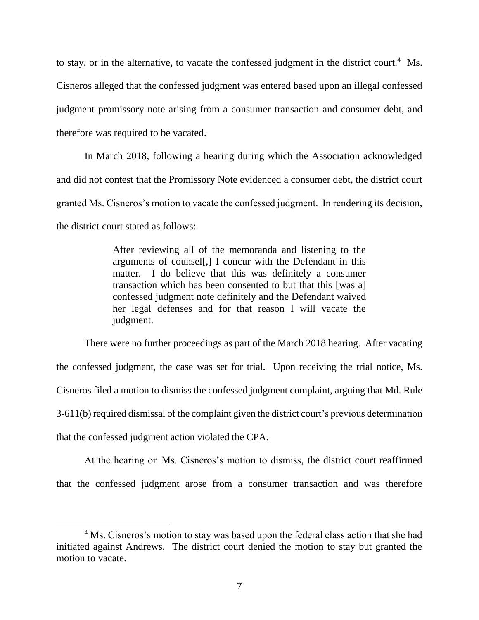to stay, or in the alternative, to vacate the confessed judgment in the district court.<sup>4</sup> Ms. Cisneros alleged that the confessed judgment was entered based upon an illegal confessed judgment promissory note arising from a consumer transaction and consumer debt, and therefore was required to be vacated.

In March 2018, following a hearing during which the Association acknowledged and did not contest that the Promissory Note evidenced a consumer debt, the district court granted Ms. Cisneros's motion to vacate the confessed judgment. In rendering its decision, the district court stated as follows:

> After reviewing all of the memoranda and listening to the arguments of counsel[,] I concur with the Defendant in this matter. I do believe that this was definitely a consumer transaction which has been consented to but that this [was a] confessed judgment note definitely and the Defendant waived her legal defenses and for that reason I will vacate the judgment.

There were no further proceedings as part of the March 2018 hearing. After vacating the confessed judgment, the case was set for trial. Upon receiving the trial notice, Ms. Cisneros filed a motion to dismiss the confessed judgment complaint, arguing that Md. Rule 3-611(b) required dismissal of the complaint given the district court's previous determination that the confessed judgment action violated the CPA.

At the hearing on Ms. Cisneros's motion to dismiss, the district court reaffirmed that the confessed judgment arose from a consumer transaction and was therefore

 $\overline{a}$ 

<sup>&</sup>lt;sup>4</sup> Ms. Cisneros's motion to stay was based upon the federal class action that she had initiated against Andrews. The district court denied the motion to stay but granted the motion to vacate.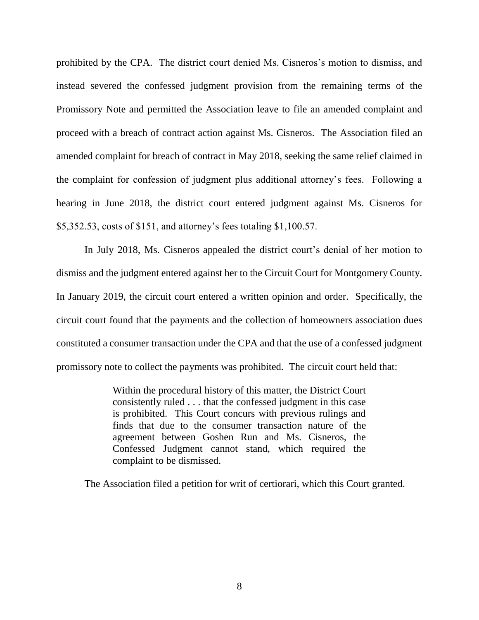prohibited by the CPA. The district court denied Ms. Cisneros's motion to dismiss, and instead severed the confessed judgment provision from the remaining terms of the Promissory Note and permitted the Association leave to file an amended complaint and proceed with a breach of contract action against Ms. Cisneros. The Association filed an amended complaint for breach of contract in May 2018, seeking the same relief claimed in the complaint for confession of judgment plus additional attorney's fees. Following a hearing in June 2018, the district court entered judgment against Ms. Cisneros for \$5,352.53, costs of \$151, and attorney's fees totaling \$1,100.57.

In July 2018, Ms. Cisneros appealed the district court's denial of her motion to dismiss and the judgment entered against her to the Circuit Court for Montgomery County. In January 2019, the circuit court entered a written opinion and order. Specifically, the circuit court found that the payments and the collection of homeowners association dues constituted a consumer transaction under the CPA and that the use of a confessed judgment promissory note to collect the payments was prohibited. The circuit court held that:

> Within the procedural history of this matter, the District Court consistently ruled . . . that the confessed judgment in this case is prohibited. This Court concurs with previous rulings and finds that due to the consumer transaction nature of the agreement between Goshen Run and Ms. Cisneros, the Confessed Judgment cannot stand, which required the complaint to be dismissed.

The Association filed a petition for writ of certiorari, which this Court granted.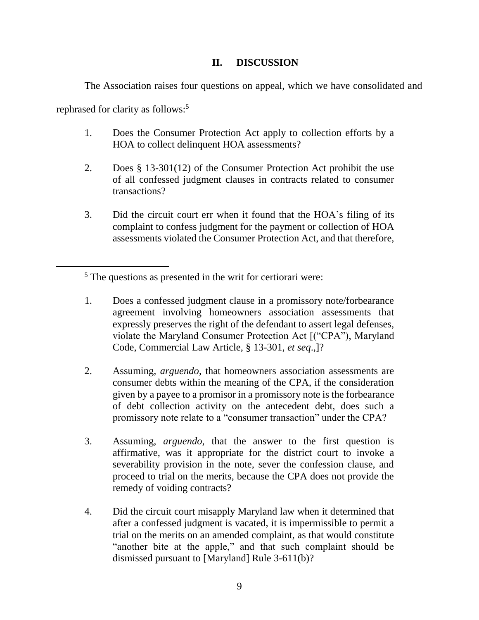# **II. DISCUSSION**

The Association raises four questions on appeal, which we have consolidated and

rephrased for clarity as follows:<sup>5</sup>

- 1. Does the Consumer Protection Act apply to collection efforts by a HOA to collect delinquent HOA assessments?
- 2. Does § 13-301(12) of the Consumer Protection Act prohibit the use of all confessed judgment clauses in contracts related to consumer transactions?
- 3. Did the circuit court err when it found that the HOA's filing of its complaint to confess judgment for the payment or collection of HOA assessments violated the Consumer Protection Act, and that therefore,

- 1. Does a confessed judgment clause in a promissory note/forbearance agreement involving homeowners association assessments that expressly preserves the right of the defendant to assert legal defenses, violate the Maryland Consumer Protection Act [("CPA"), Maryland Code, Commercial Law Article, § 13-301, *et seq*.,]?
- 2. Assuming, *arguendo*, that homeowners association assessments are consumer debts within the meaning of the CPA, if the consideration given by a payee to a promisor in a promissory note is the forbearance of debt collection activity on the antecedent debt, does such a promissory note relate to a "consumer transaction" under the CPA?
- 3. Assuming, *arguendo*, that the answer to the first question is affirmative, was it appropriate for the district court to invoke a severability provision in the note, sever the confession clause, and proceed to trial on the merits, because the CPA does not provide the remedy of voiding contracts?
- 4. Did the circuit court misapply Maryland law when it determined that after a confessed judgment is vacated, it is impermissible to permit a trial on the merits on an amended complaint, as that would constitute "another bite at the apple," and that such complaint should be dismissed pursuant to [Maryland] Rule 3-611(b)?

<sup>5</sup> The questions as presented in the writ for certiorari were: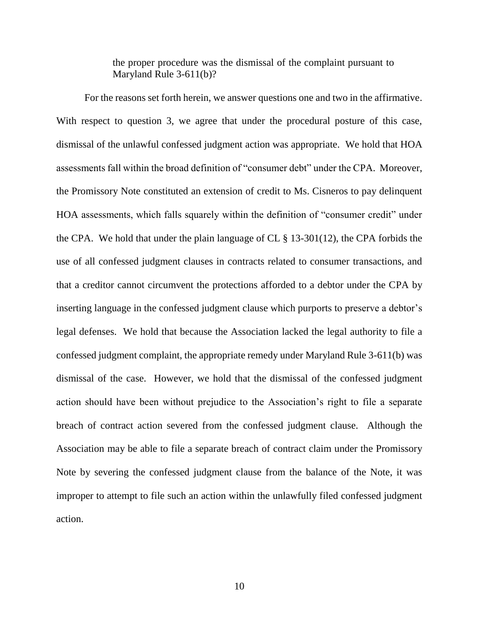the proper procedure was the dismissal of the complaint pursuant to Maryland Rule 3-611(b)?

For the reasons set forth herein, we answer questions one and two in the affirmative. With respect to question 3, we agree that under the procedural posture of this case, dismissal of the unlawful confessed judgment action was appropriate. We hold that HOA assessments fall within the broad definition of "consumer debt" under the CPA. Moreover, the Promissory Note constituted an extension of credit to Ms. Cisneros to pay delinquent HOA assessments, which falls squarely within the definition of "consumer credit" under the CPA. We hold that under the plain language of CL § 13-301(12), the CPA forbids the use of all confessed judgment clauses in contracts related to consumer transactions, and that a creditor cannot circumvent the protections afforded to a debtor under the CPA by inserting language in the confessed judgment clause which purports to preserve a debtor's legal defenses. We hold that because the Association lacked the legal authority to file a confessed judgment complaint, the appropriate remedy under Maryland Rule 3-611(b) was dismissal of the case. However, we hold that the dismissal of the confessed judgment action should have been without prejudice to the Association's right to file a separate breach of contract action severed from the confessed judgment clause. Although the Association may be able to file a separate breach of contract claim under the Promissory Note by severing the confessed judgment clause from the balance of the Note, it was improper to attempt to file such an action within the unlawfully filed confessed judgment action.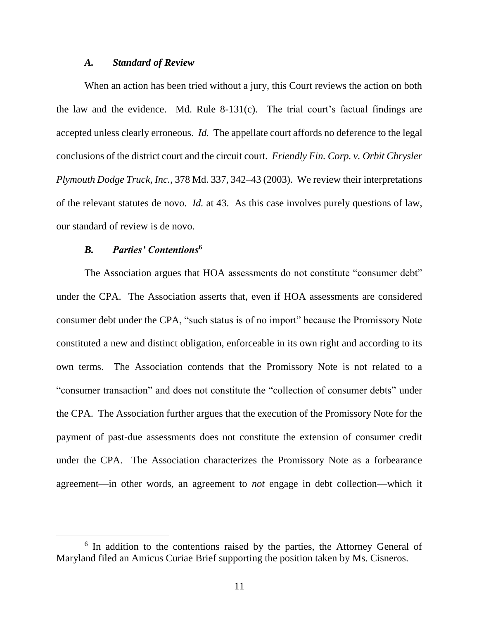#### *A. Standard of Review*

When an action has been tried without a jury, this Court reviews the action on both the law and the evidence. Md. Rule  $8-131(c)$ . The trial court's factual findings are accepted unless clearly erroneous. *Id.* The appellate court affords no deference to the legal conclusions of the district court and the circuit court. *Friendly Fin. Corp. v. Orbit Chrysler Plymouth Dodge Truck, Inc.,* 378 Md. 337, 342–43 (2003). We review their interpretations of the relevant statutes de novo. *Id.* at 43. As this case involves purely questions of law, our standard of review is de novo.

### *B. Parties' Contentions***<sup>6</sup>**

 $\overline{a}$ 

The Association argues that HOA assessments do not constitute "consumer debt" under the CPA. The Association asserts that, even if HOA assessments are considered consumer debt under the CPA, "such status is of no import" because the Promissory Note constituted a new and distinct obligation, enforceable in its own right and according to its own terms. The Association contends that the Promissory Note is not related to a "consumer transaction" and does not constitute the "collection of consumer debts" under the CPA. The Association further argues that the execution of the Promissory Note for the payment of past-due assessments does not constitute the extension of consumer credit under the CPA. The Association characterizes the Promissory Note as a forbearance agreement—in other words, an agreement to *not* engage in debt collection—which it

<sup>&</sup>lt;sup>6</sup> In addition to the contentions raised by the parties, the Attorney General of Maryland filed an Amicus Curiae Brief supporting the position taken by Ms. Cisneros.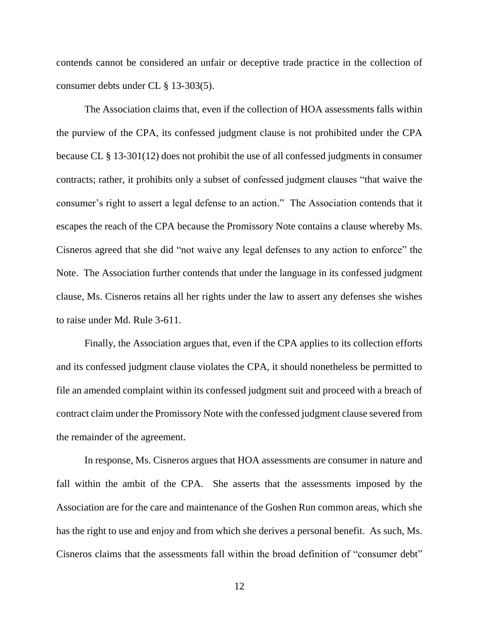contends cannot be considered an unfair or deceptive trade practice in the collection of consumer debts under CL § 13-303(5).

The Association claims that, even if the collection of HOA assessments falls within the purview of the CPA, its confessed judgment clause is not prohibited under the CPA because CL § 13-301(12) does not prohibit the use of all confessed judgments in consumer contracts; rather, it prohibits only a subset of confessed judgment clauses "that waive the consumer's right to assert a legal defense to an action." The Association contends that it escapes the reach of the CPA because the Promissory Note contains a clause whereby Ms. Cisneros agreed that she did "not waive any legal defenses to any action to enforce" the Note. The Association further contends that under the language in its confessed judgment clause, Ms. Cisneros retains all her rights under the law to assert any defenses she wishes to raise under Md. Rule 3-611.

Finally, the Association argues that, even if the CPA applies to its collection efforts and its confessed judgment clause violates the CPA, it should nonetheless be permitted to file an amended complaint within its confessed judgment suit and proceed with a breach of contract claim under the Promissory Note with the confessed judgment clause severed from the remainder of the agreement.

In response, Ms. Cisneros argues that HOA assessments are consumer in nature and fall within the ambit of the CPA. She asserts that the assessments imposed by the Association are for the care and maintenance of the Goshen Run common areas, which she has the right to use and enjoy and from which she derives a personal benefit. As such, Ms. Cisneros claims that the assessments fall within the broad definition of "consumer debt"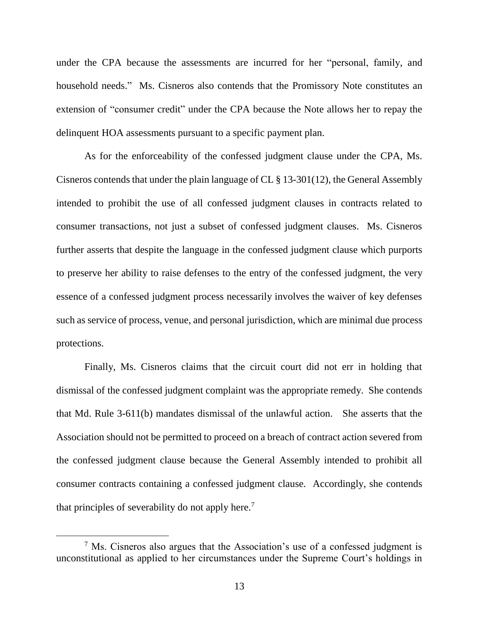under the CPA because the assessments are incurred for her "personal, family, and household needs." Ms. Cisneros also contends that the Promissory Note constitutes an extension of "consumer credit" under the CPA because the Note allows her to repay the delinquent HOA assessments pursuant to a specific payment plan.

As for the enforceability of the confessed judgment clause under the CPA, Ms. Cisneros contends that under the plain language of CL § 13-301(12), the General Assembly intended to prohibit the use of all confessed judgment clauses in contracts related to consumer transactions, not just a subset of confessed judgment clauses. Ms. Cisneros further asserts that despite the language in the confessed judgment clause which purports to preserve her ability to raise defenses to the entry of the confessed judgment, the very essence of a confessed judgment process necessarily involves the waiver of key defenses such as service of process, venue, and personal jurisdiction, which are minimal due process protections.

Finally, Ms. Cisneros claims that the circuit court did not err in holding that dismissal of the confessed judgment complaint was the appropriate remedy. She contends that Md. Rule 3-611(b) mandates dismissal of the unlawful action. She asserts that the Association should not be permitted to proceed on a breach of contract action severed from the confessed judgment clause because the General Assembly intended to prohibit all consumer contracts containing a confessed judgment clause. Accordingly, she contends that principles of severability do not apply here.<sup>7</sup>

 $\overline{a}$ 

 $<sup>7</sup>$  Ms. Cisneros also argues that the Association's use of a confessed judgment is</sup> unconstitutional as applied to her circumstances under the Supreme Court's holdings in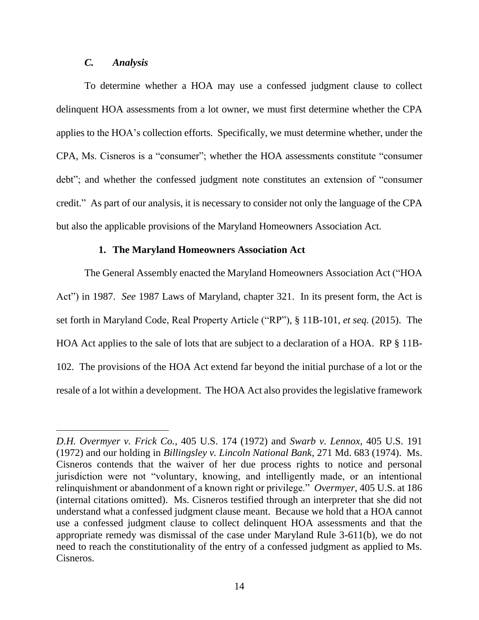## *C. Analysis*

To determine whether a HOA may use a confessed judgment clause to collect delinquent HOA assessments from a lot owner, we must first determine whether the CPA applies to the HOA's collection efforts. Specifically, we must determine whether, under the CPA, Ms. Cisneros is a "consumer"; whether the HOA assessments constitute "consumer debt"; and whether the confessed judgment note constitutes an extension of "consumer credit." As part of our analysis, it is necessary to consider not only the language of the CPA but also the applicable provisions of the Maryland Homeowners Association Act.

### **1. The Maryland Homeowners Association Act**

The General Assembly enacted the Maryland Homeowners Association Act ("HOA Act") in 1987. *See* 1987 Laws of Maryland, chapter 321. In its present form, the Act is set forth in Maryland Code, Real Property Article ("RP"), § 11B-101, *et seq.* (2015). The HOA Act applies to the sale of lots that are subject to a declaration of a HOA. RP § 11B-102. The provisions of the HOA Act extend far beyond the initial purchase of a lot or the resale of a lot within a development. The HOA Act also provides the legislative framework

*D.H. Overmyer v. Frick Co.*, 405 U.S. 174 (1972) and *Swarb v. Lennox*, 405 U.S. 191 (1972) and our holding in *Billingsley v. Lincoln National Bank*, 271 Md. 683 (1974). Ms. Cisneros contends that the waiver of her due process rights to notice and personal jurisdiction were not "voluntary, knowing, and intelligently made, or an intentional relinquishment or abandonment of a known right or privilege." *Overmyer*, 405 U.S. at 186 (internal citations omitted). Ms. Cisneros testified through an interpreter that she did not understand what a confessed judgment clause meant. Because we hold that a HOA cannot use a confessed judgment clause to collect delinquent HOA assessments and that the appropriate remedy was dismissal of the case under Maryland Rule 3-611(b), we do not need to reach the constitutionality of the entry of a confessed judgment as applied to Ms. Cisneros.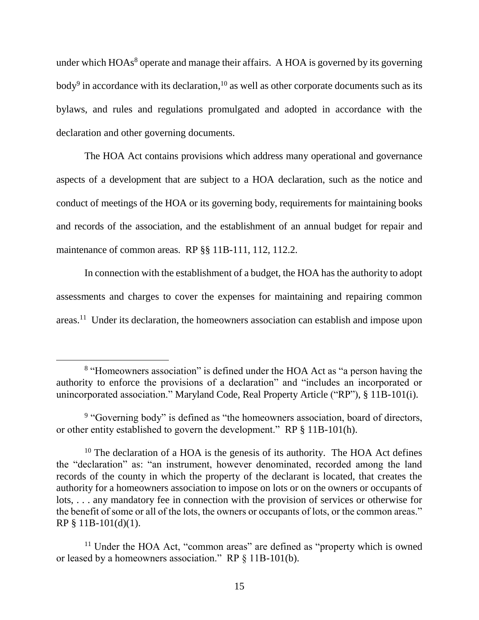under which HOAs<sup>8</sup> operate and manage their affairs. A HOA is governed by its governing body<sup>9</sup> in accordance with its declaration,  $10$  as well as other corporate documents such as its bylaws, and rules and regulations promulgated and adopted in accordance with the declaration and other governing documents.

The HOA Act contains provisions which address many operational and governance aspects of a development that are subject to a HOA declaration, such as the notice and conduct of meetings of the HOA or its governing body, requirements for maintaining books and records of the association, and the establishment of an annual budget for repair and maintenance of common areas. RP §§ 11B-111, 112, 112.2.

In connection with the establishment of a budget, the HOA has the authority to adopt assessments and charges to cover the expenses for maintaining and repairing common areas.<sup>11</sup> Under its declaration, the homeowners association can establish and impose upon

 $\overline{a}$ 

<sup>&</sup>lt;sup>8</sup> "Homeowners association" is defined under the HOA Act as "a person having the authority to enforce the provisions of a declaration" and "includes an incorporated or unincorporated association." Maryland Code, Real Property Article ("RP"), § 11B-101(i).

<sup>&</sup>lt;sup>9</sup> "Governing body" is defined as "the homeowners association, board of directors, or other entity established to govern the development." RP § 11B-101(h).

 $10$  The declaration of a HOA is the genesis of its authority. The HOA Act defines the "declaration" as: "an instrument, however denominated, recorded among the land records of the county in which the property of the declarant is located, that creates the authority for a homeowners association to impose on lots or on the owners or occupants of lots, . . . any mandatory fee in connection with the provision of services or otherwise for the benefit of some or all of the lots, the owners or occupants of lots, or the common areas." RP § 11B-101(d)(1).

<sup>&</sup>lt;sup>11</sup> Under the HOA Act, "common areas" are defined as "property which is owned or leased by a homeowners association." RP § 11B-101(b).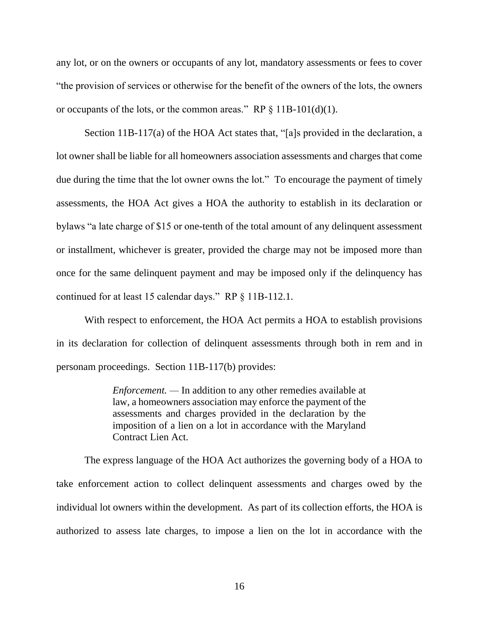any lot, or on the owners or occupants of any lot, mandatory assessments or fees to cover "the provision of services or otherwise for the benefit of the owners of the lots, the owners or occupants of the lots, or the common areas." RP  $\S 11B-101(d)(1)$ .

Section 11B-117(a) of the HOA Act states that, "[a]s provided in the declaration, a lot owner shall be liable for all homeowners association assessments and charges that come due during the time that the lot owner owns the lot." To encourage the payment of timely assessments, the HOA Act gives a HOA the authority to establish in its declaration or bylaws "a late charge of \$15 or one-tenth of the total amount of any delinquent assessment or installment, whichever is greater, provided the charge may not be imposed more than once for the same delinquent payment and may be imposed only if the delinquency has continued for at least 15 calendar days." RP § 11B-112.1.

With respect to enforcement, the HOA Act permits a HOA to establish provisions in its declaration for collection of delinquent assessments through both in rem and in personam proceedings. Section 11B-117(b) provides:

> *Enforcement. —* In addition to any other remedies available at law, a homeowners association may enforce the payment of the assessments and charges provided in the declaration by the imposition of a lien on a lot in accordance with the Maryland Contract Lien Act.

The express language of the HOA Act authorizes the governing body of a HOA to take enforcement action to collect delinquent assessments and charges owed by the individual lot owners within the development. As part of its collection efforts, the HOA is authorized to assess late charges, to impose a lien on the lot in accordance with the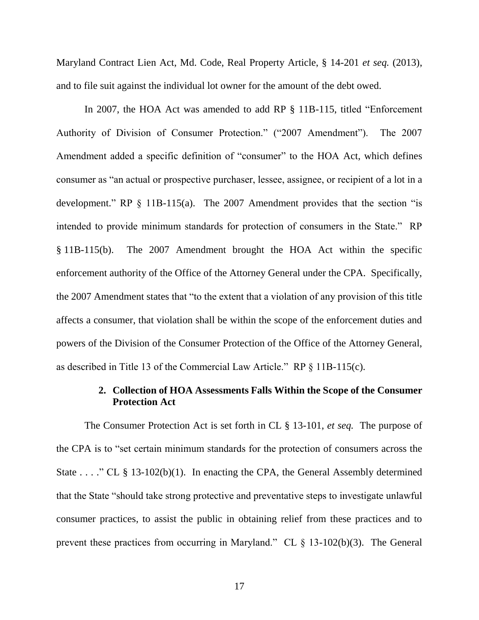Maryland Contract Lien Act, Md. Code, Real Property Article, § 14-201 *et seq.* (2013), and to file suit against the individual lot owner for the amount of the debt owed.

In 2007, the HOA Act was amended to add RP § 11B-115, titled "Enforcement Authority of Division of Consumer Protection." ("2007 Amendment"). The 2007 Amendment added a specific definition of "consumer" to the HOA Act, which defines consumer as "an actual or prospective purchaser, lessee, assignee, or recipient of a lot in a development." RP § 11B-115(a). The 2007 Amendment provides that the section "is intended to provide minimum standards for protection of consumers in the State." RP § 11B-115(b). The 2007 Amendment brought the HOA Act within the specific enforcement authority of the Office of the Attorney General under the CPA. Specifically, the 2007 Amendment states that "to the extent that a violation of any provision of this title affects a consumer, that violation shall be within the scope of the enforcement duties and powers of the Division of the Consumer Protection of the Office of the Attorney General, as described in Title 13 of the Commercial Law Article." RP § 11B-115(c).

## **2. Collection of HOA Assessments Falls Within the Scope of the Consumer Protection Act**

The Consumer Protection Act is set forth in CL § 13-101, *et seq.* The purpose of the CPA is to "set certain minimum standards for the protection of consumers across the State . . . ." CL  $\S$  13-102(b)(1). In enacting the CPA, the General Assembly determined that the State "should take strong protective and preventative steps to investigate unlawful consumer practices, to assist the public in obtaining relief from these practices and to prevent these practices from occurring in Maryland." CL § 13-102(b)(3). The General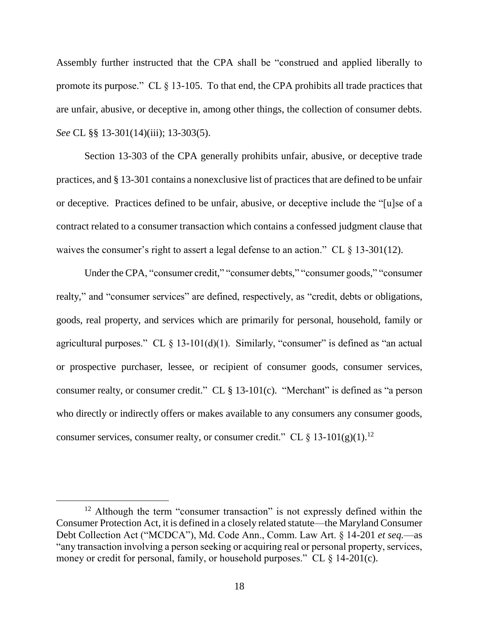Assembly further instructed that the CPA shall be "construed and applied liberally to promote its purpose." CL § 13-105. To that end, the CPA prohibits all trade practices that are unfair, abusive, or deceptive in, among other things, the collection of consumer debts. *See* CL §§ 13-301(14)(iii); 13-303(5).

Section 13-303 of the CPA generally prohibits unfair, abusive, or deceptive trade practices, and § 13-301 contains a nonexclusive list of practices that are defined to be unfair or deceptive. Practices defined to be unfair, abusive, or deceptive include the "[u]se of a contract related to a consumer transaction which contains a confessed judgment clause that waives the consumer's right to assert a legal defense to an action." CL  $\S$  13-301(12).

Under the CPA, "consumer credit," "consumer debts," "consumer goods," "consumer realty," and "consumer services" are defined, respectively, as "credit, debts or obligations, goods, real property, and services which are primarily for personal, household, family or agricultural purposes." CL  $\S$  13-101(d)(1). Similarly, "consumer" is defined as "an actual or prospective purchaser, lessee, or recipient of consumer goods, consumer services, consumer realty, or consumer credit." CL § 13-101(c). "Merchant" is defined as "a person who directly or indirectly offers or makes available to any consumers any consumer goods, consumer services, consumer realty, or consumer credit." CL  $\S 13{\text -}101(g)(1)$ .<sup>12</sup>

 $12$  Although the term "consumer transaction" is not expressly defined within the Consumer Protection Act, it is defined in a closely related statute—the Maryland Consumer Debt Collection Act ("MCDCA"), Md. Code Ann., Comm. Law Art. § 14-201 *et seq.*—as "any transaction involving a person seeking or acquiring real or personal property, services, money or credit for personal, family, or household purposes." CL  $\S$  14-201(c).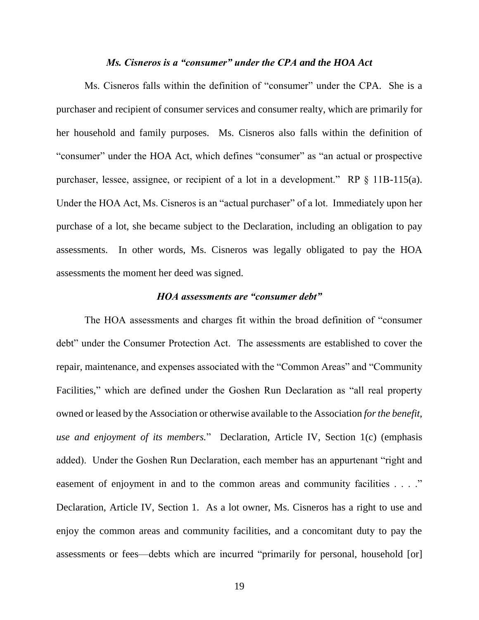#### *Ms. Cisneros is a "consumer" under the CPA and the HOA Act*

Ms. Cisneros falls within the definition of "consumer" under the CPA. She is a purchaser and recipient of consumer services and consumer realty, which are primarily for her household and family purposes. Ms. Cisneros also falls within the definition of "consumer" under the HOA Act, which defines "consumer" as "an actual or prospective purchaser, lessee, assignee, or recipient of a lot in a development." RP § 11B-115(a). Under the HOA Act, Ms. Cisneros is an "actual purchaser" of a lot. Immediately upon her purchase of a lot, she became subject to the Declaration, including an obligation to pay assessments. In other words, Ms. Cisneros was legally obligated to pay the HOA assessments the moment her deed was signed.

#### *HOA assessments are "consumer debt"*

The HOA assessments and charges fit within the broad definition of "consumer debt" under the Consumer Protection Act. The assessments are established to cover the repair, maintenance, and expenses associated with the "Common Areas" and "Community Facilities," which are defined under the Goshen Run Declaration as "all real property owned or leased by the Association or otherwise available to the Association *for the benefit, use and enjoyment of its members.*"Declaration, Article IV, Section 1(c) (emphasis added). Under the Goshen Run Declaration, each member has an appurtenant "right and easement of enjoyment in and to the common areas and community facilities . . . ." Declaration, Article IV, Section 1. As a lot owner, Ms. Cisneros has a right to use and enjoy the common areas and community facilities, and a concomitant duty to pay the assessments or fees—debts which are incurred "primarily for personal, household [or]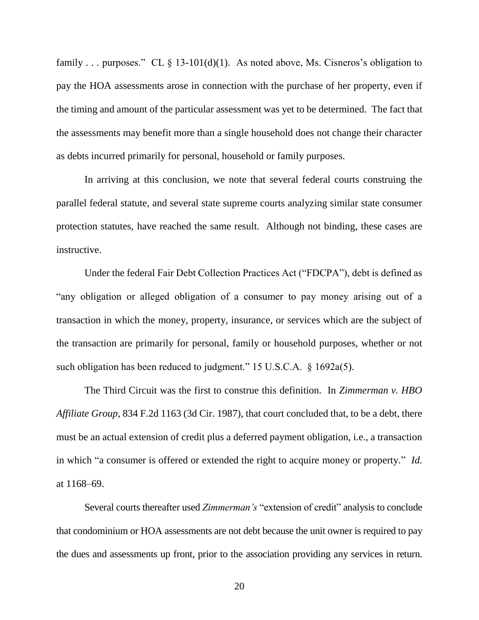family . . . purposes." CL § 13-101(d)(1). As noted above, Ms. Cisneros's obligation to pay the HOA assessments arose in connection with the purchase of her property, even if the timing and amount of the particular assessment was yet to be determined. The fact that the assessments may benefit more than a single household does not change their character as debts incurred primarily for personal, household or family purposes.

In arriving at this conclusion, we note that several federal courts construing the parallel federal statute, and several state supreme courts analyzing similar state consumer protection statutes, have reached the same result. Although not binding, these cases are instructive.

Under the federal Fair Debt Collection Practices Act ("FDCPA"), debt is defined as "any obligation or alleged obligation of a consumer to pay money arising out of a transaction in which the money, property, insurance, or services which are the subject of the transaction are primarily for personal, family or household purposes, whether or not such obligation has been reduced to judgment." 15 U.S.C.A. § 1692a(5).

The Third Circuit was the first to construe this definition. In *Zimmerman v. HBO Affiliate Group*, 834 F.2d 1163 (3d Cir. 1987), that court concluded that, to be a debt, there must be an actual extension of credit plus a deferred payment obligation, i.e., a transaction in which "a consumer is offered or extended the right to acquire money or property." *Id.* at 1168–69.

Several courts thereafter used *Zimmerman's* "extension of credit" analysis to conclude that condominium or HOA assessments are not debt because the unit owner is required to pay the dues and assessments up front, prior to the association providing any services in return.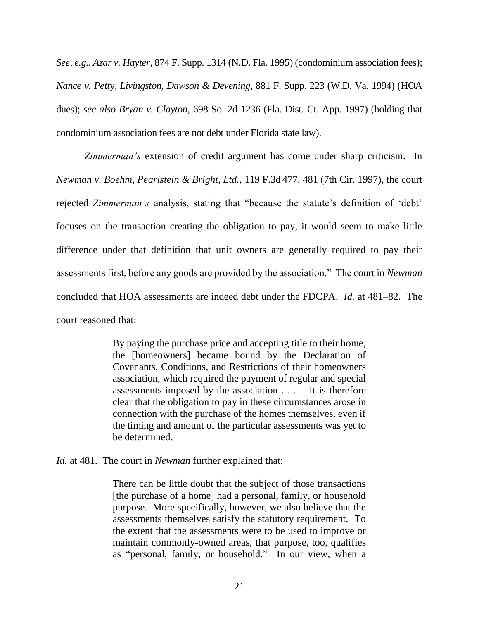*See, e.g.*, *Azar v. Hayter*, 874 F. Supp. 1314 (N.D. Fla. 1995) (condominium association fees); *Nance v. Pett*y*, Livingston, Dawson & Devening*, 881 F. Supp. 223 (W.D. Va. 1994) (HOA dues); *see also Bryan v. Clayton*, 698 So. 2d 1236 (Fla. Dist. Ct. App. 1997) (holding that condominium association fees are not debt under Florida state law).

*Zimmerman's* extension of credit argument has come under sharp criticism. In *Newman v. Boehm, Pearlstein & Bright, Ltd.*, 119 F.3d 477, 481 (7th Cir. 1997), the court rejected *Zimmerman's* analysis, stating that "because the statute's definition of 'debt' focuses on the transaction creating the obligation to pay, it would seem to make little difference under that definition that unit owners are generally required to pay their assessments first, before any goods are provided by the association." The court in *Newman* concluded that HOA assessments are indeed debt under the FDCPA. *Id.* at 481–82. The court reasoned that:

> By paying the purchase price and accepting title to their home, the [homeowners] became bound by the Declaration of Covenants, Conditions, and Restrictions of their homeowners association, which required the payment of regular and special assessments imposed by the association . . . . It is therefore clear that the obligation to pay in these circumstances arose in connection with the purchase of the homes themselves, even if the timing and amount of the particular assessments was yet to be determined.

*Id.* at 481. The court in *Newman* further explained that:

There can be little doubt that the subject of those transactions [the purchase of a home] had a personal, family, or household purpose. More specifically, however, we also believe that the assessments themselves satisfy the statutory requirement. To the extent that the assessments were to be used to improve or maintain commonly-owned areas, that purpose, too, qualifies as "personal, family, or household." In our view, when a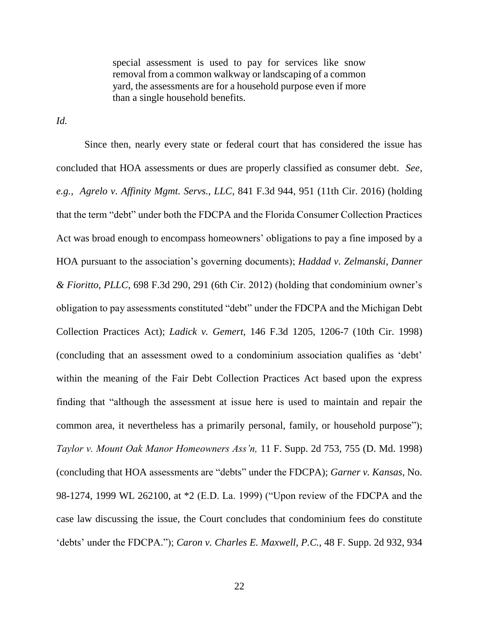special assessment is used to pay for services like snow removal from a common walkway or landscaping of a common yard, the assessments are for a household purpose even if more than a single household benefits.

*Id.*

Since then, nearly every state or federal court that has considered the issue has concluded that HOA assessments or dues are properly classified as consumer debt. *See, e.g., Agrelo v. Affinity Mgmt. Servs., LLC,* 841 F.3d 944, 951 (11th Cir. 2016) (holding that the term "debt" under both the FDCPA and the Florida Consumer Collection Practices Act was broad enough to encompass homeowners' obligations to pay a fine imposed by a HOA pursuant to the association's governing documents); *Haddad v. Zelmanski, Danner & Fioritto, PLLC*, 698 F.3d 290, 291 (6th Cir. 2012) (holding that condominium owner's obligation to pay assessments constituted "debt" under the FDCPA and the Michigan Debt Collection Practices Act); *Ladick v. Gemert*, 146 F.3d 1205, 1206-7 (10th Cir. 1998) (concluding that an assessment owed to a condominium association qualifies as 'debt' within the meaning of the Fair Debt Collection Practices Act based upon the express finding that "although the assessment at issue here is used to maintain and repair the common area, it nevertheless has a primarily personal, family, or household purpose"); *Taylor v. Mount Oak Manor Homeowners Ass'n,* 11 F. Supp. 2d 753, 755 (D. Md. 1998) (concluding that HOA assessments are "debts" under the FDCPA); *Garner v. Kansas*, No. 98-1274, 1999 WL 262100, at \*2 (E.D. La. 1999) ("Upon review of the FDCPA and the case law discussing the issue, the Court concludes that condominium fees do constitute 'debts' under the FDCPA."); *Caron v. Charles E. Maxwell, P.C.*, 48 F. Supp. 2d 932, 934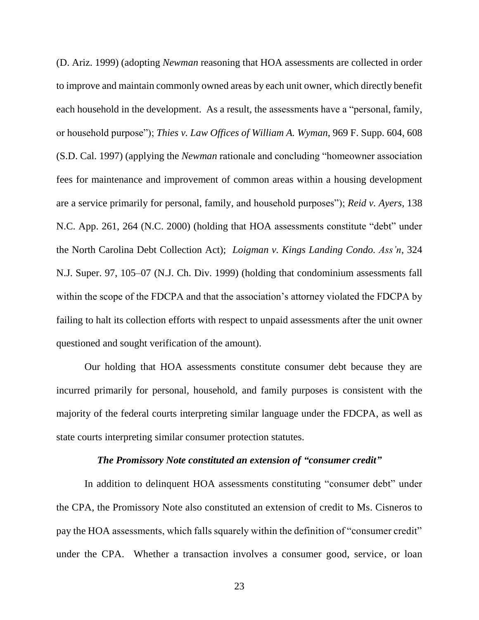(D. Ariz. 1999) (adopting *Newman* reasoning that HOA assessments are collected in order to improve and maintain commonly owned areas by each unit owner, which directly benefit each household in the development. As a result, the assessments have a "personal, family, or household purpose"); *Thies v. Law Offices of William A. Wyman*, 969 F. Supp. 604, 608 (S.D. Cal. 1997) (applying the *Newman* rationale and concluding "homeowner association fees for maintenance and improvement of common areas within a housing development are a service primarily for personal, family, and household purposes"); *Reid v. Ayers*, 138 N.C. App. 261, 264 (N.C. 2000) (holding that HOA assessments constitute "debt" under the North Carolina Debt Collection Act); *Loigman v. Kings Landing Condo. Ass'n*, 324 N.J. Super. 97, 105–07 (N.J. Ch. Div. 1999) (holding that condominium assessments fall within the scope of the FDCPA and that the association's attorney violated the FDCPA by failing to halt its collection efforts with respect to unpaid assessments after the unit owner questioned and sought verification of the amount).

Our holding that HOA assessments constitute consumer debt because they are incurred primarily for personal, household, and family purposes is consistent with the majority of the federal courts interpreting similar language under the FDCPA, as well as state courts interpreting similar consumer protection statutes.

### *The Promissory Note constituted an extension of "consumer credit"*

In addition to delinquent HOA assessments constituting "consumer debt" under the CPA, the Promissory Note also constituted an extension of credit to Ms. Cisneros to pay the HOA assessments, which falls squarely within the definition of "consumer credit" under the CPA. Whether a transaction involves a consumer good, service, or loan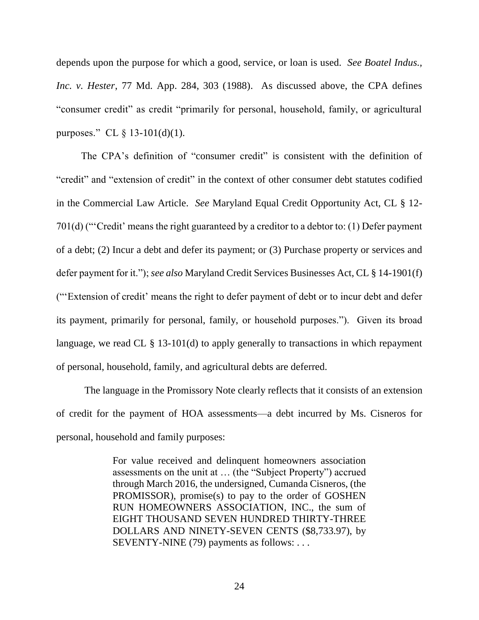depends upon the purpose for which a good, service, or loan is used. *See Boatel Indus., Inc. v. Hester*, 77 Md. App. 284, 303 (1988). As discussed above, the CPA defines "consumer credit" as credit "primarily for personal, household, family, or agricultural purposes." CL § 13-101(d)(1).

The CPA's definition of "consumer credit" is consistent with the definition of "credit" and "extension of credit" in the context of other consumer debt statutes codified in the Commercial Law Article. *See* Maryland Equal Credit Opportunity Act, CL § 12- 701(d) ("'Credit' means the right guaranteed by a creditor to a debtor to: (1) Defer payment of a debt; (2) Incur a debt and defer its payment; or (3) Purchase property or services and defer payment for it."); *see also* Maryland Credit Services Businesses Act, CL § 14-1901(f) ("'Extension of credit' means the right to defer payment of debt or to incur debt and defer its payment, primarily for personal, family, or household purposes."). Given its broad language, we read CL § 13-101(d) to apply generally to transactions in which repayment of personal, household, family, and agricultural debts are deferred.

The language in the Promissory Note clearly reflects that it consists of an extension of credit for the payment of HOA assessments—a debt incurred by Ms. Cisneros for personal, household and family purposes:

> For value received and delinquent homeowners association assessments on the unit at … (the "Subject Property") accrued through March 2016, the undersigned, Cumanda Cisneros, (the PROMISSOR), promise(s) to pay to the order of GOSHEN RUN HOMEOWNERS ASSOCIATION, INC., the sum of EIGHT THOUSAND SEVEN HUNDRED THIRTY-THREE DOLLARS AND NINETY-SEVEN CENTS (\$8,733.97), by SEVENTY-NINE (79) payments as follows: . . .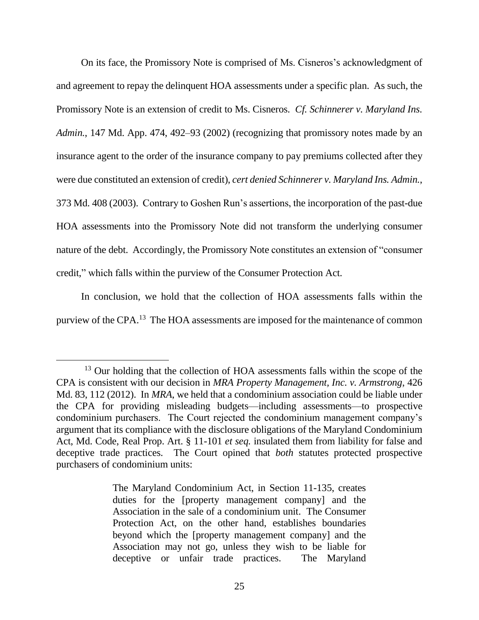On its face, the Promissory Note is comprised of Ms. Cisneros's acknowledgment of and agreement to repay the delinquent HOA assessments under a specific plan. As such, the Promissory Note is an extension of credit to Ms. Cisneros. *Cf. Schinnerer v. Maryland Ins. Admin.*, 147 Md. App. 474, 492–93 (2002) (recognizing that promissory notes made by an insurance agent to the order of the insurance company to pay premiums collected after they were due constituted an extension of credit), *cert denied Schinnerer v. Maryland Ins. Admin.*, 373 Md. 408 (2003). Contrary to Goshen Run's assertions, the incorporation of the past-due HOA assessments into the Promissory Note did not transform the underlying consumer nature of the debt. Accordingly, the Promissory Note constitutes an extension of "consumer credit," which falls within the purview of the Consumer Protection Act.

In conclusion, we hold that the collection of HOA assessments falls within the purview of the CPA.<sup>13</sup> The HOA assessments are imposed for the maintenance of common

 $\overline{a}$ 

<sup>&</sup>lt;sup>13</sup> Our holding that the collection of HOA assessments falls within the scope of the CPA is consistent with our decision in *MRA Property Management, Inc. v. Armstrong*, 426 Md. 83, 112 (2012). In *MRA*, we held that a condominium association could be liable under the CPA for providing misleading budgets—including assessments—to prospective condominium purchasers. The Court rejected the condominium management company's argument that its compliance with the disclosure obligations of the Maryland Condominium Act, Md. Code, Real Prop. Art. § 11-101 *et seq.* insulated them from liability for false and deceptive trade practices. The Court opined that *both* statutes protected prospective purchasers of condominium units:

The Maryland Condominium Act, in Section 11-135, creates duties for the [property management company] and the Association in the sale of a condominium unit. The Consumer Protection Act, on the other hand, establishes boundaries beyond which the [property management company] and the Association may not go, unless they wish to be liable for deceptive or unfair trade practices. The Maryland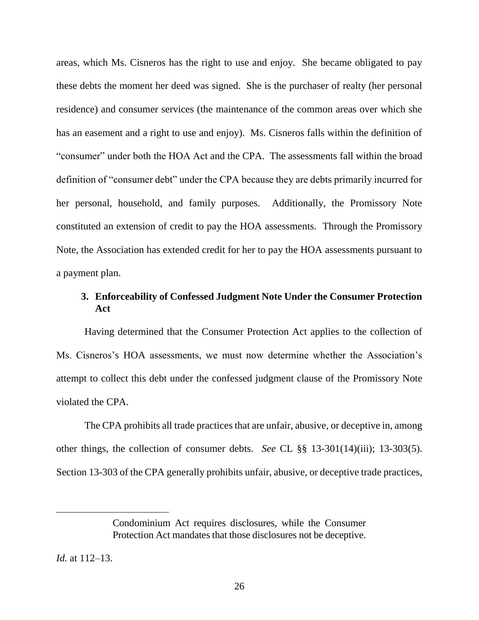areas, which Ms. Cisneros has the right to use and enjoy. She became obligated to pay these debts the moment her deed was signed. She is the purchaser of realty (her personal residence) and consumer services (the maintenance of the common areas over which she has an easement and a right to use and enjoy). Ms. Cisneros falls within the definition of "consumer" under both the HOA Act and the CPA. The assessments fall within the broad definition of "consumer debt" under the CPA because they are debts primarily incurred for her personal, household, and family purposes. Additionally, the Promissory Note constituted an extension of credit to pay the HOA assessments. Through the Promissory Note, the Association has extended credit for her to pay the HOA assessments pursuant to a payment plan.

# **3. Enforceability of Confessed Judgment Note Under the Consumer Protection Act**

Having determined that the Consumer Protection Act applies to the collection of Ms. Cisneros's HOA assessments, we must now determine whether the Association's attempt to collect this debt under the confessed judgment clause of the Promissory Note violated the CPA.

The CPA prohibits all trade practices that are unfair, abusive, or deceptive in, among other things, the collection of consumer debts. *See* CL §§ 13-301(14)(iii); 13-303(5). Section 13-303 of the CPA generally prohibits unfair, abusive, or deceptive trade practices,

*Id.* at 112–13.

Condominium Act requires disclosures, while the Consumer Protection Act mandates that those disclosures not be deceptive.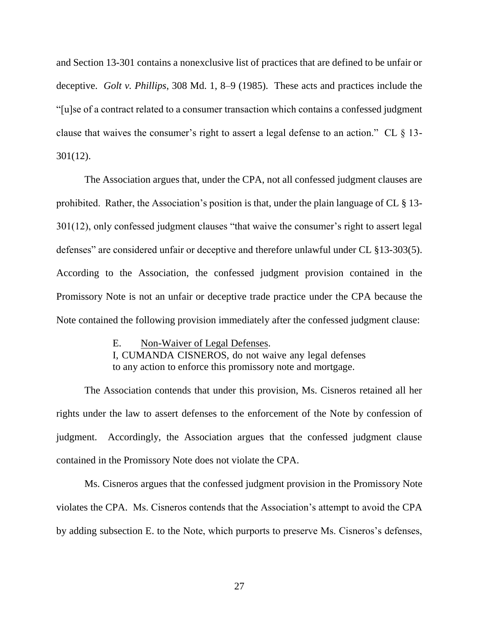and Section 13-301 contains a nonexclusive list of practices that are defined to be unfair or deceptive. *Golt v. Phillips*, 308 Md. 1, 8–9 (1985). These acts and practices include the "[u]se of a contract related to a consumer transaction which contains a confessed judgment clause that waives the consumer's right to assert a legal defense to an action." CL § 13- 301(12).

The Association argues that, under the CPA, not all confessed judgment clauses are prohibited. Rather, the Association's position is that, under the plain language of CL § 13- 301(12), only confessed judgment clauses "that waive the consumer's right to assert legal defenses" are considered unfair or deceptive and therefore unlawful under CL §13-303(5). According to the Association, the confessed judgment provision contained in the Promissory Note is not an unfair or deceptive trade practice under the CPA because the Note contained the following provision immediately after the confessed judgment clause:

> E. Non-Waiver of Legal Defenses. I, CUMANDA CISNEROS, do not waive any legal defenses to any action to enforce this promissory note and mortgage.

The Association contends that under this provision, Ms. Cisneros retained all her rights under the law to assert defenses to the enforcement of the Note by confession of judgment. Accordingly, the Association argues that the confessed judgment clause contained in the Promissory Note does not violate the CPA.

Ms. Cisneros argues that the confessed judgment provision in the Promissory Note violates the CPA. Ms. Cisneros contends that the Association's attempt to avoid the CPA by adding subsection E. to the Note, which purports to preserve Ms. Cisneros's defenses,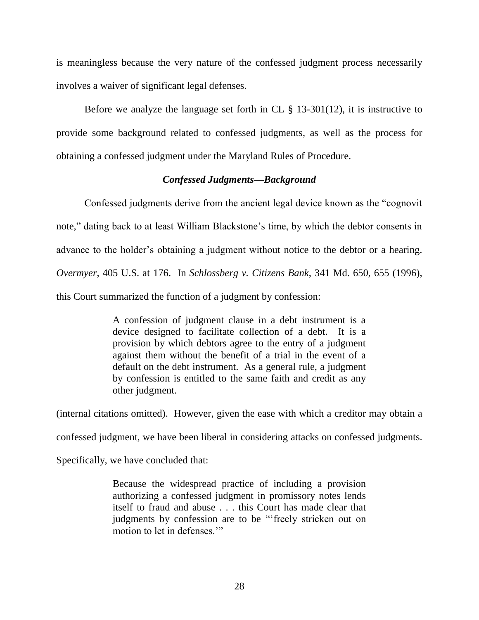is meaningless because the very nature of the confessed judgment process necessarily involves a waiver of significant legal defenses.

Before we analyze the language set forth in CL  $\S$  13-301(12), it is instructive to provide some background related to confessed judgments, as well as the process for obtaining a confessed judgment under the Maryland Rules of Procedure.

## *Confessed Judgments—Background*

Confessed judgments derive from the ancient legal device known as the "cognovit note," dating back to at least William Blackstone's time, by which the debtor consents in advance to the holder's obtaining a judgment without notice to the debtor or a hearing. *Overmyer*, 405 U.S. at 176. In *Schlossberg v. Citizens Bank*, 341 Md. 650, 655 (1996), this Court summarized the function of a judgment by confession:

> A confession of judgment clause in a debt instrument is a device designed to facilitate collection of a debt. It is a provision by which debtors agree to the entry of a judgment against them without the benefit of a trial in the event of a default on the debt instrument. As a general rule, a judgment by confession is entitled to the same faith and credit as any other judgment.

(internal citations omitted). However, given the ease with which a creditor may obtain a confessed judgment, we have been liberal in considering attacks on confessed judgments. Specifically, we have concluded that:

> Because the widespread practice of including a provision authorizing a confessed judgment in promissory notes lends itself to fraud and abuse . . . this Court has made clear that judgments by confession are to be "'freely stricken out on motion to let in defenses."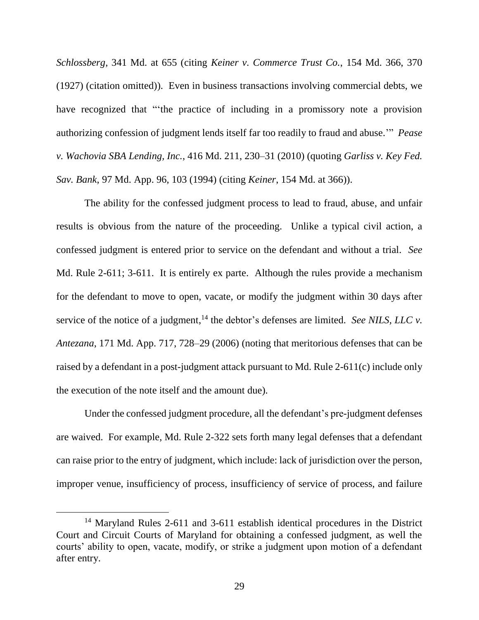*Schlossberg*, 341 Md. at 655 (citing *Keiner v. Commerce Trust Co.*, 154 Md. 366, 370 (1927) (citation omitted)).Even in business transactions involving commercial debts, we have recognized that "'the practice of including in a promissory note a provision authorizing confession of judgment lends itself far too readily to fraud and abuse.'" *Pease v. Wachovia SBA Lending, Inc.*, 416 Md. 211, 230–31 (2010) (quoting *Garliss v. Key Fed. Sav. Bank*, 97 Md. App. 96, 103 (1994) (citing *Keiner*, 154 Md. at 366)).

The ability for the confessed judgment process to lead to fraud, abuse, and unfair results is obvious from the nature of the proceeding. Unlike a typical civil action, a confessed judgment is entered prior to service on the defendant and without a trial. *See* Md. Rule 2-611; 3-611. It is entirely ex parte. Although the rules provide a mechanism for the defendant to move to open, vacate, or modify the judgment within 30 days after service of the notice of a judgment,  $^{14}$  the debtor's defenses are limited. *See NILS, LLC v. Antezana*, 171 Md. App. 717, 728–29 (2006) (noting that meritorious defenses that can be raised by a defendant in a post-judgment attack pursuant to Md. Rule 2-611(c) include only the execution of the note itself and the amount due).

Under the confessed judgment procedure, all the defendant's pre-judgment defenses are waived. For example, Md. Rule 2-322 sets forth many legal defenses that a defendant can raise prior to the entry of judgment, which include: lack of jurisdiction over the person, improper venue, insufficiency of process, insufficiency of service of process, and failure

<sup>&</sup>lt;sup>14</sup> Maryland Rules 2-611 and 3-611 establish identical procedures in the District Court and Circuit Courts of Maryland for obtaining a confessed judgment, as well the courts' ability to open, vacate, modify, or strike a judgment upon motion of a defendant after entry.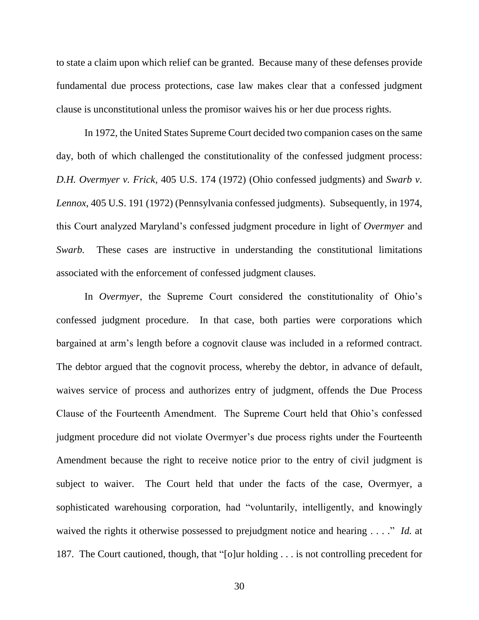to state a claim upon which relief can be granted. Because many of these defenses provide fundamental due process protections, case law makes clear that a confessed judgment clause is unconstitutional unless the promisor waives his or her due process rights.

In 1972, the United States Supreme Court decided two companion cases on the same day, both of which challenged the constitutionality of the confessed judgment process: *D.H. Overmyer v. Frick*, 405 U.S. 174 (1972) (Ohio confessed judgments) and *Swarb v. Lennox*, 405 U.S. 191 (1972) (Pennsylvania confessed judgments). Subsequently, in 1974, this Court analyzed Maryland's confessed judgment procedure in light of *Overmyer* and *Swarb.* These cases are instructive in understanding the constitutional limitations associated with the enforcement of confessed judgment clauses.

In *Overmyer*, the Supreme Court considered the constitutionality of Ohio's confessed judgment procedure. In that case, both parties were corporations which bargained at arm's length before a cognovit clause was included in a reformed contract. The debtor argued that the cognovit process, whereby the debtor, in advance of default, waives service of process and authorizes entry of judgment, offends the Due Process Clause of the Fourteenth Amendment. The Supreme Court held that Ohio's confessed judgment procedure did not violate Overmyer's due process rights under the Fourteenth Amendment because the right to receive notice prior to the entry of civil judgment is subject to waiver. The Court held that under the facts of the case, Overmyer, a sophisticated warehousing corporation, had "voluntarily, intelligently, and knowingly waived the rights it otherwise possessed to prejudgment notice and hearing . . . ." *Id.* at 187. The Court cautioned, though, that "[o]ur holding . . . is not controlling precedent for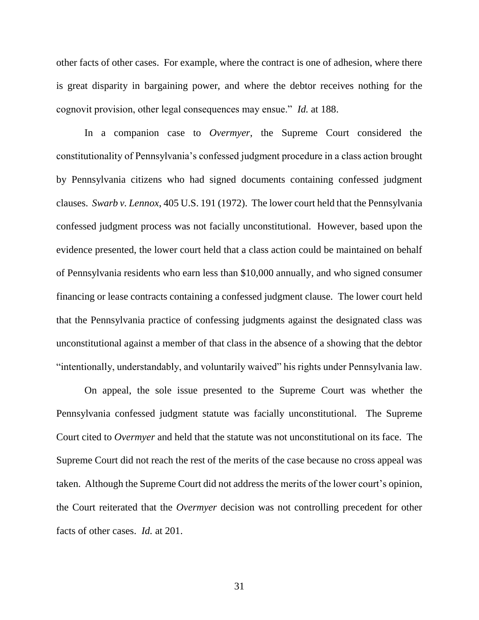other facts of other cases. For example, where the contract is one of adhesion, where there is great disparity in bargaining power, and where the debtor receives nothing for the cognovit provision, other legal consequences may ensue." *Id.* at 188.

In a companion case to *Overmyer*, the Supreme Court considered the constitutionality of Pennsylvania's confessed judgment procedure in a class action brought by Pennsylvania citizens who had signed documents containing confessed judgment clauses. *Swarb v. Lennox*, 405 U.S. 191 (1972). The lower court held that the Pennsylvania confessed judgment process was not facially unconstitutional. However, based upon the evidence presented, the lower court held that a class action could be maintained on behalf of Pennsylvania residents who earn less than \$10,000 annually, and who signed consumer financing or lease contracts containing a confessed judgment clause. The lower court held that the Pennsylvania practice of confessing judgments against the designated class was unconstitutional against a member of that class in the absence of a showing that the debtor "intentionally, understandably, and voluntarily waived" his rights under Pennsylvania law.

On appeal, the sole issue presented to the Supreme Court was whether the Pennsylvania confessed judgment statute was facially unconstitutional. The Supreme Court cited to *Overmyer* and held that the statute was not unconstitutional on its face. The Supreme Court did not reach the rest of the merits of the case because no cross appeal was taken. Although the Supreme Court did not address the merits of the lower court's opinion, the Court reiterated that the *Overmyer* decision was not controlling precedent for other facts of other cases. *Id.* at 201.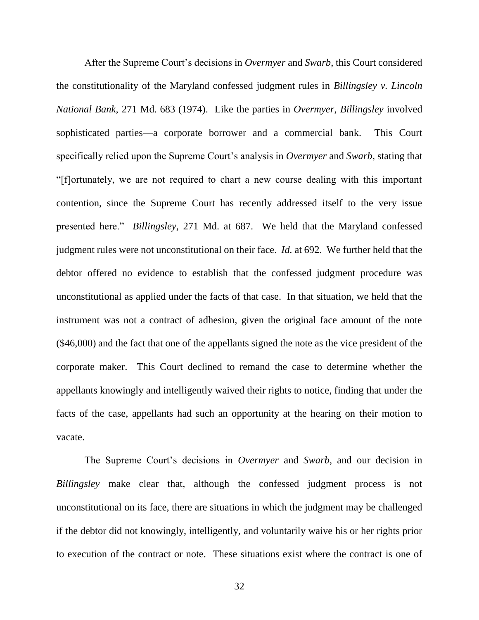After the Supreme Court's decisions in *Overmyer* and *Swarb*, this Court considered the constitutionality of the Maryland confessed judgment rules in *Billingsley v. Lincoln National Bank*, 271 Md. 683 (1974). Like the parties in *Overmyer*, *Billingsley* involved sophisticated parties—a corporate borrower and a commercial bank. This Court specifically relied upon the Supreme Court's analysis in *Overmyer* and *Swarb*, stating that "[f]ortunately, we are not required to chart a new course dealing with this important contention, since the Supreme Court has recently addressed itself to the very issue presented here." *Billingsley*, 271 Md. at 687. We held that the Maryland confessed judgment rules were not unconstitutional on their face. *Id.* at 692. We further held that the debtor offered no evidence to establish that the confessed judgment procedure was unconstitutional as applied under the facts of that case. In that situation, we held that the instrument was not a contract of adhesion, given the original face amount of the note (\$46,000) and the fact that one of the appellants signed the note as the vice president of the corporate maker. This Court declined to remand the case to determine whether the appellants knowingly and intelligently waived their rights to notice, finding that under the facts of the case, appellants had such an opportunity at the hearing on their motion to vacate.

The Supreme Court's decisions in *Overmyer* and *Swarb*, and our decision in *Billingsley* make clear that, although the confessed judgment process is not unconstitutional on its face, there are situations in which the judgment may be challenged if the debtor did not knowingly, intelligently, and voluntarily waive his or her rights prior to execution of the contract or note. These situations exist where the contract is one of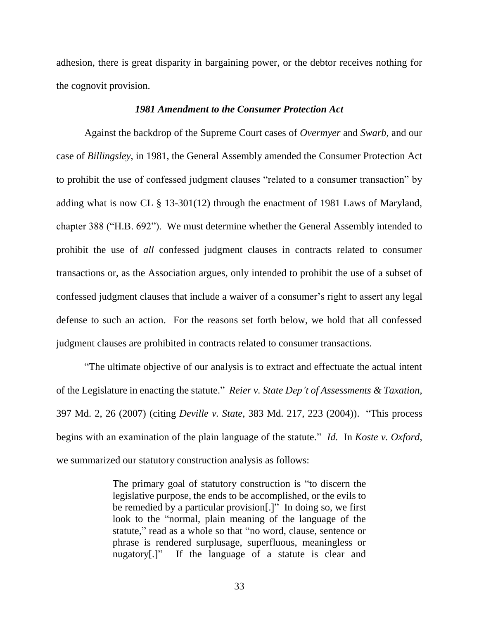adhesion, there is great disparity in bargaining power, or the debtor receives nothing for the cognovit provision.

### *1981 Amendment to the Consumer Protection Act*

Against the backdrop of the Supreme Court cases of *Overmyer* and *Swarb*, and our case of *Billingsley*, in 1981, the General Assembly amended the Consumer Protection Act to prohibit the use of confessed judgment clauses "related to a consumer transaction" by adding what is now CL § 13-301(12) through the enactment of 1981 Laws of Maryland, chapter 388 ("H.B. 692"). We must determine whether the General Assembly intended to prohibit the use of *all* confessed judgment clauses in contracts related to consumer transactions or, as the Association argues, only intended to prohibit the use of a subset of confessed judgment clauses that include a waiver of a consumer's right to assert any legal defense to such an action. For the reasons set forth below, we hold that all confessed judgment clauses are prohibited in contracts related to consumer transactions.

"The ultimate objective of our analysis is to extract and effectuate the actual intent of the Legislature in enacting the statute." *Reier v. State Dep't of Assessments & Taxation*, 397 Md. 2, 26 (2007) (citing *Deville v. State*, 383 Md. 217, 223 (2004)). "This process begins with an examination of the plain language of the statute." *Id.* In *Koste v. Oxford*, we summarized our statutory construction analysis as follows:

> The primary goal of statutory construction is "to discern the legislative purpose, the ends to be accomplished, or the evils to be remedied by a particular provision[.]" In doing so, we first look to the "normal, plain meaning of the language of the statute," read as a whole so that "no word, clause, sentence or phrase is rendered surplusage, superfluous, meaningless or nugatory[.]" If the language of a statute is clear and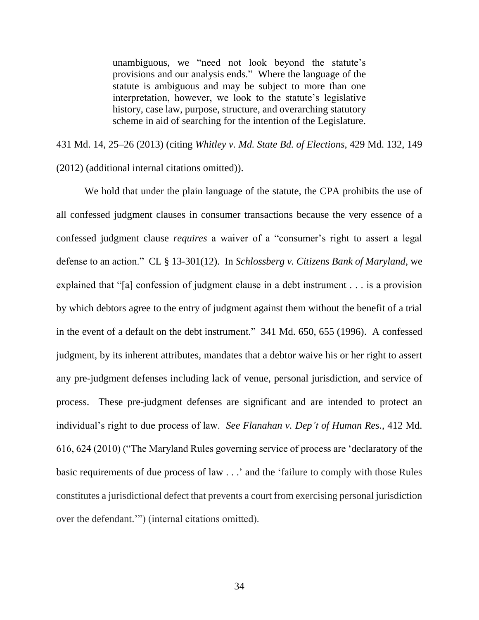unambiguous, we "need not look beyond the statute's provisions and our analysis ends." Where the language of the statute is ambiguous and may be subject to more than one interpretation, however, we look to the statute's legislative history, case law, purpose, structure, and overarching statutory scheme in aid of searching for the intention of the Legislature.

431 Md. 14, 25–26 (2013) (citing *Whitley v. Md. State Bd. of Elections*, 429 Md. 132, 149 (2012) (additional internal citations omitted)).

We hold that under the plain language of the statute, the CPA prohibits the use of all confessed judgment clauses in consumer transactions because the very essence of a confessed judgment clause *requires* a waiver of a "consumer's right to assert a legal defense to an action." CL § 13-301(12). In *Schlossberg v. Citizens Bank of Maryland*, we explained that "[a] confession of judgment clause in a debt instrument . . . is a provision by which debtors agree to the entry of judgment against them without the benefit of a trial in the event of a default on the debt instrument." 341 Md. 650, 655 (1996). A confessed judgment, by its inherent attributes, mandates that a debtor waive his or her right to assert any pre-judgment defenses including lack of venue, personal jurisdiction, and service of process. These pre-judgment defenses are significant and are intended to protect an individual's right to due process of law. *See Flanahan v. Dep't of Human Res.*, 412 Md. 616, 624 (2010) ("The Maryland Rules governing service of process are 'declaratory of the basic requirements of due process of law . . .' and the 'failure to comply with those Rules constitutes a jurisdictional defect that prevents a court from exercising personal jurisdiction over the defendant.'") (internal citations omitted).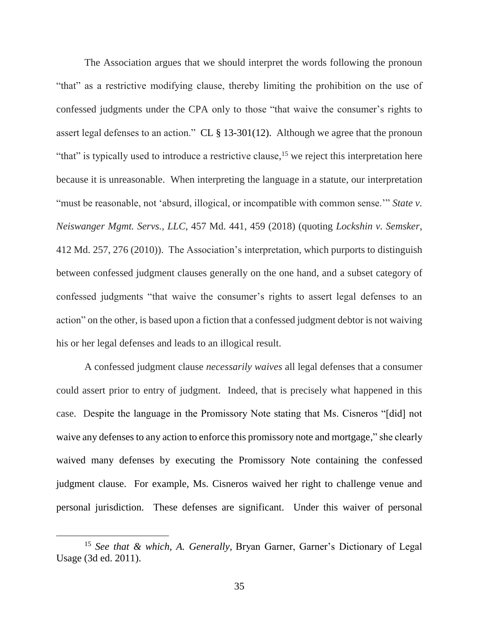The Association argues that we should interpret the words following the pronoun "that" as a restrictive modifying clause, thereby limiting the prohibition on the use of confessed judgments under the CPA only to those "that waive the consumer's rights to assert legal defenses to an action." CL § 13-301(12). Although we agree that the pronoun "that" is typically used to introduce a restrictive clause,<sup>15</sup> we reject this interpretation here because it is unreasonable. When interpreting the language in a statute, our interpretation "must be reasonable, not 'absurd, illogical, or incompatible with common sense."" *State v. Neiswanger Mgmt. Servs., LLC*, 457 Md. 441, 459 (2018) (quoting *Lockshin v. Semsker*, 412 Md. 257, 276 (2010)). The Association's interpretation, which purports to distinguish between confessed judgment clauses generally on the one hand, and a subset category of confessed judgments "that waive the consumer's rights to assert legal defenses to an action" on the other, is based upon a fiction that a confessed judgment debtor is not waiving his or her legal defenses and leads to an illogical result.

A confessed judgment clause *necessarily waives* all legal defenses that a consumer could assert prior to entry of judgment. Indeed, that is precisely what happened in this case. Despite the language in the Promissory Note stating that Ms. Cisneros "[did] not waive any defenses to any action to enforce this promissory note and mortgage," she clearly waived many defenses by executing the Promissory Note containing the confessed judgment clause. For example, Ms. Cisneros waived her right to challenge venue and personal jurisdiction. These defenses are significant. Under this waiver of personal

 $\overline{a}$ 

<sup>15</sup> *See that & which, A. Generally,* Bryan Garner, Garner's Dictionary of Legal Usage (3d ed. 2011).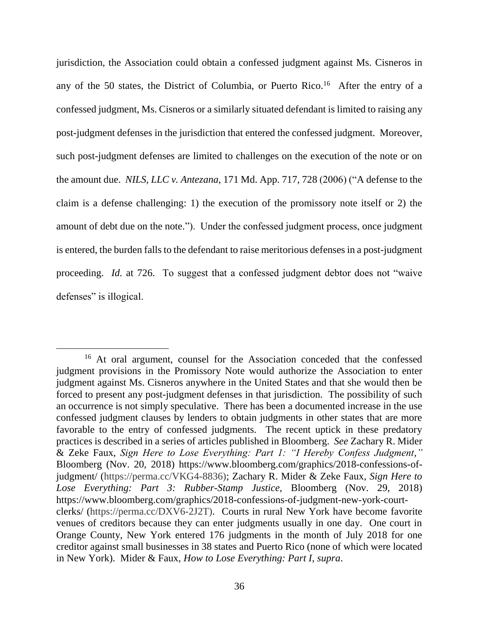jurisdiction, the Association could obtain a confessed judgment against Ms. Cisneros in any of the 50 states, the District of Columbia, or Puerto Rico.<sup>16</sup> After the entry of a confessed judgment, Ms. Cisneros or a similarly situated defendant is limited to raising any post-judgment defenses in the jurisdiction that entered the confessed judgment. Moreover, such post-judgment defenses are limited to challenges on the execution of the note or on the amount due. *NILS, LLC v. Antezana*, 171 Md. App. 717, 728 (2006) ("A defense to the claim is a defense challenging: 1) the execution of the promissory note itself or 2) the amount of debt due on the note."). Under the confessed judgment process, once judgment is entered, the burden falls to the defendant to raise meritorious defenses in a post-judgment proceeding. *Id.* at 726. To suggest that a confessed judgment debtor does not "waive defenses" is illogical.

<sup>16</sup> At oral argument, counsel for the Association conceded that the confessed judgment provisions in the Promissory Note would authorize the Association to enter judgment against Ms. Cisneros anywhere in the United States and that she would then be forced to present any post-judgment defenses in that jurisdiction. The possibility of such an occurrence is not simply speculative. There has been a documented increase in the use confessed judgment clauses by lenders to obtain judgments in other states that are more favorable to the entry of confessed judgments. The recent uptick in these predatory practices is described in a series of articles published in Bloomberg. *See* Zachary R. Mider & Zeke Faux, *Sign Here to Lose Everything: Part 1: "I Hereby Confess Judgment,"* Bloomberg (Nov. 20, 2018) [https://www.bloomberg.com/graphics/2018-confessions-of](https://www.bloomberg.com/graphics/2018-confessions-of-judgment/)[judgment/](https://www.bloomberg.com/graphics/2018-confessions-of-judgment/) (https://perma.cc/VKG4-8836); Zachary R. Mider & Zeke Faux, *Sign Here to Lose Everything: Part 3: Rubber-Stamp Justice,* Bloomberg (Nov. 29, 2018) [https://www.bloomberg.com/graphics/2018-confessions-of-judgment-new-york-court](https://www.bloomberg.com/graphics/2018-confessions-of-judgment-new-york-court-clerks/)[clerks/](https://www.bloomberg.com/graphics/2018-confessions-of-judgment-new-york-court-clerks/) (https://perma.cc/DXV6-2J2T). Courts in rural New York have become favorite venues of creditors because they can enter judgments usually in one day. One court in Orange County, New York entered 176 judgments in the month of July 2018 for one creditor against small businesses in 38 states and Puerto Rico (none of which were located in New York). Mider & Faux, *How to Lose Everything: Part I*, *supra*.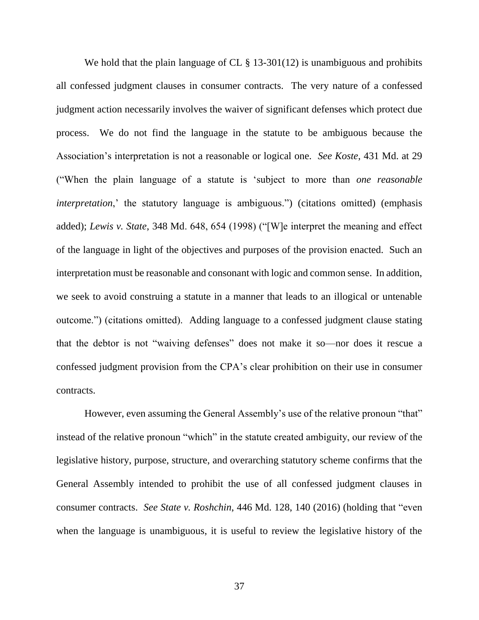We hold that the plain language of CL § 13-301(12) is unambiguous and prohibits all confessed judgment clauses in consumer contracts. The very nature of a confessed judgment action necessarily involves the waiver of significant defenses which protect due process. We do not find the language in the statute to be ambiguous because the Association's interpretation is not a reasonable or logical one. *See Koste*, 431 Md. at 29 ("When the plain language of a statute is 'subject to more than *one reasonable interpretation*,' the statutory language is ambiguous.") (citations omitted) (emphasis added); *Lewis v. State*, 348 Md. 648, 654 (1998) ("[W]e interpret the meaning and effect of the language in light of the objectives and purposes of the provision enacted. Such an interpretation must be reasonable and consonant with logic and common sense. In addition, we seek to avoid construing a statute in a manner that leads to an illogical or untenable outcome.") (citations omitted). Adding language to a confessed judgment clause stating that the debtor is not "waiving defenses" does not make it so—nor does it rescue a confessed judgment provision from the CPA's clear prohibition on their use in consumer contracts.

However, even assuming the General Assembly's use of the relative pronoun "that" instead of the relative pronoun "which" in the statute created ambiguity, our review of the legislative history, purpose, structure, and overarching statutory scheme confirms that the General Assembly intended to prohibit the use of all confessed judgment clauses in consumer contracts. *See State v. Roshchin*, 446 Md. 128, 140 (2016) (holding that "even when the language is unambiguous, it is useful to review the legislative history of the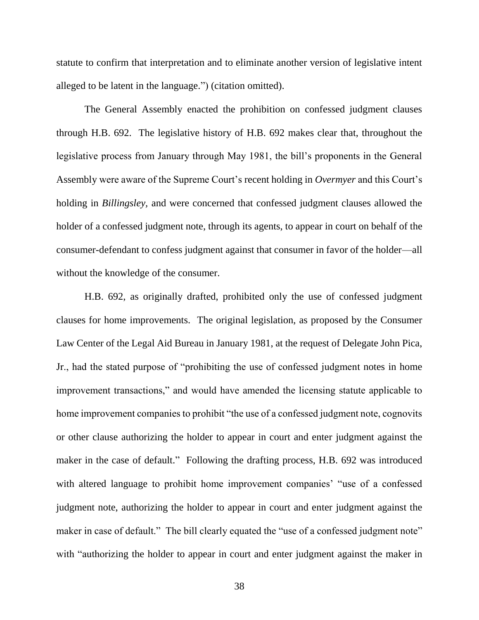statute to confirm that interpretation and to eliminate another version of legislative intent alleged to be latent in the language.") (citation omitted).

The General Assembly enacted the prohibition on confessed judgment clauses through H.B. 692. The legislative history of H.B. 692 makes clear that, throughout the legislative process from January through May 1981, the bill's proponents in the General Assembly were aware of the Supreme Court's recent holding in *Overmyer* and this Court's holding in *Billingsley,* and were concerned that confessed judgment clauses allowed the holder of a confessed judgment note, through its agents, to appear in court on behalf of the consumer-defendant to confess judgment against that consumer in favor of the holder—all without the knowledge of the consumer.

H.B. 692, as originally drafted, prohibited only the use of confessed judgment clauses for home improvements. The original legislation, as proposed by the Consumer Law Center of the Legal Aid Bureau in January 1981, at the request of Delegate John Pica, Jr., had the stated purpose of "prohibiting the use of confessed judgment notes in home improvement transactions," and would have amended the licensing statute applicable to home improvement companies to prohibit "the use of a confessed judgment note, cognovits or other clause authorizing the holder to appear in court and enter judgment against the maker in the case of default." Following the drafting process, H.B. 692 was introduced with altered language to prohibit home improvement companies' "use of a confessed judgment note, authorizing the holder to appear in court and enter judgment against the maker in case of default." The bill clearly equated the "use of a confessed judgment note" with "authorizing the holder to appear in court and enter judgment against the maker in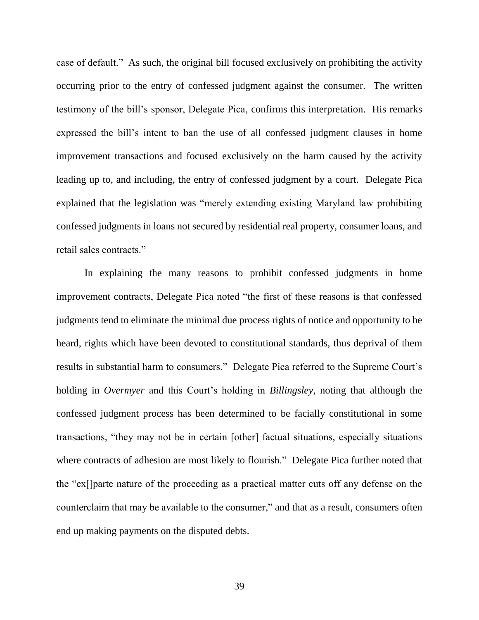case of default." As such, the original bill focused exclusively on prohibiting the activity occurring prior to the entry of confessed judgment against the consumer. The written testimony of the bill's sponsor, Delegate Pica, confirms this interpretation. His remarks expressed the bill's intent to ban the use of all confessed judgment clauses in home improvement transactions and focused exclusively on the harm caused by the activity leading up to, and including, the entry of confessed judgment by a court. Delegate Pica explained that the legislation was "merely extending existing Maryland law prohibiting confessed judgments in loans not secured by residential real property, consumer loans, and retail sales contracts."

In explaining the many reasons to prohibit confessed judgments in home improvement contracts, Delegate Pica noted "the first of these reasons is that confessed judgments tend to eliminate the minimal due process rights of notice and opportunity to be heard, rights which have been devoted to constitutional standards, thus deprival of them results in substantial harm to consumers." Delegate Pica referred to the Supreme Court's holding in *Overmyer* and this Court's holding in *Billingsley*, noting that although the confessed judgment process has been determined to be facially constitutional in some transactions, "they may not be in certain [other] factual situations, especially situations where contracts of adhesion are most likely to flourish." Delegate Pica further noted that the "ex[]parte nature of the proceeding as a practical matter cuts off any defense on the counterclaim that may be available to the consumer," and that as a result, consumers often end up making payments on the disputed debts.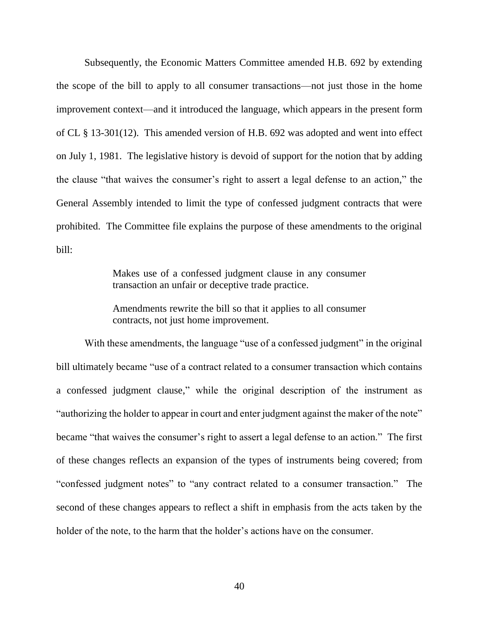Subsequently, the Economic Matters Committee amended H.B. 692 by extending the scope of the bill to apply to all consumer transactions—not just those in the home improvement context—and it introduced the language, which appears in the present form of CL § 13-301(12). This amended version of H.B. 692 was adopted and went into effect on July 1, 1981. The legislative history is devoid of support for the notion that by adding the clause "that waives the consumer's right to assert a legal defense to an action," the General Assembly intended to limit the type of confessed judgment contracts that were prohibited. The Committee file explains the purpose of these amendments to the original bill:

> Makes use of a confessed judgment clause in any consumer transaction an unfair or deceptive trade practice.

> Amendments rewrite the bill so that it applies to all consumer contracts, not just home improvement.

With these amendments, the language "use of a confessed judgment" in the original bill ultimately became "use of a contract related to a consumer transaction which contains a confessed judgment clause," while the original description of the instrument as "authorizing the holder to appear in court and enter judgment against the maker of the note" became "that waives the consumer's right to assert a legal defense to an action." The first of these changes reflects an expansion of the types of instruments being covered; from "confessed judgment notes" to "any contract related to a consumer transaction." The second of these changes appears to reflect a shift in emphasis from the acts taken by the holder of the note, to the harm that the holder's actions have on the consumer.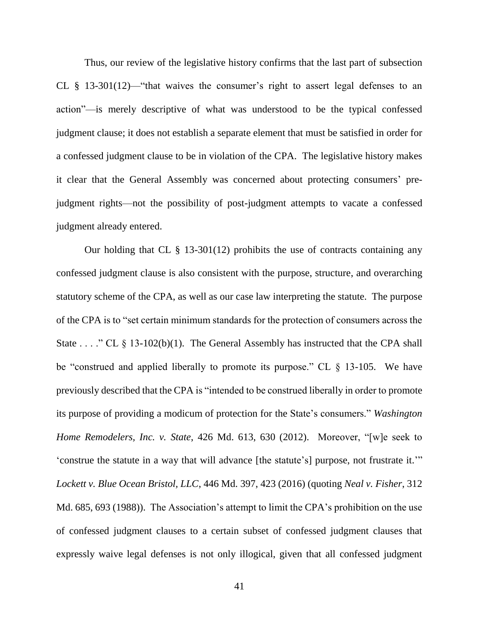Thus, our review of the legislative history confirms that the last part of subsection CL § 13-301(12)—"that waives the consumer's right to assert legal defenses to an action"—is merely descriptive of what was understood to be the typical confessed judgment clause; it does not establish a separate element that must be satisfied in order for a confessed judgment clause to be in violation of the CPA. The legislative history makes it clear that the General Assembly was concerned about protecting consumers' prejudgment rights—not the possibility of post-judgment attempts to vacate a confessed judgment already entered.

Our holding that CL  $\S$  13-301(12) prohibits the use of contracts containing any confessed judgment clause is also consistent with the purpose, structure, and overarching statutory scheme of the CPA, as well as our case law interpreting the statute. The purpose of the CPA is to "set certain minimum standards for the protection of consumers across the State . . . ." CL § 13-102(b)(1). The General Assembly has instructed that the CPA shall be "construed and applied liberally to promote its purpose." CL § 13-105. We have previously described that the CPA is "intended to be construed liberally in order to promote its purpose of providing a modicum of protection for the State's consumers." *Washington Home Remodelers, Inc. v. State*, 426 Md. 613, 630 (2012). Moreover, "[w]e seek to 'construe the statute in a way that will advance [the statute's] purpose, not frustrate it.'" *Lockett v. Blue Ocean Bristol, LLC*, 446 Md. 397, 423 (2016) (quoting *Neal v. Fisher*, 312 Md. 685, 693 (1988)). The Association's attempt to limit the CPA's prohibition on the use of confessed judgment clauses to a certain subset of confessed judgment clauses that expressly waive legal defenses is not only illogical, given that all confessed judgment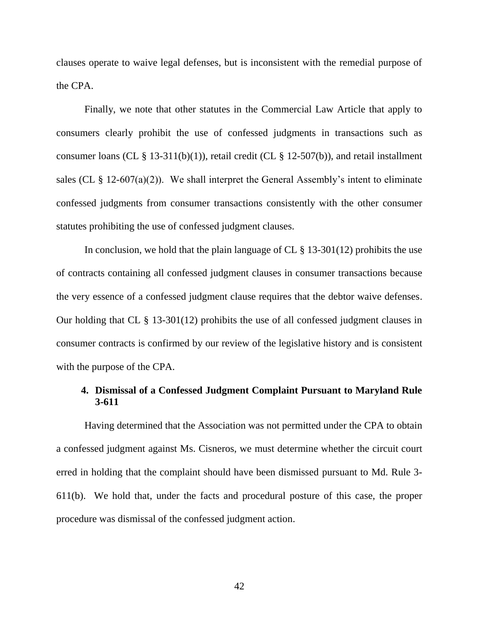clauses operate to waive legal defenses, but is inconsistent with the remedial purpose of the CPA.

Finally, we note that other statutes in the Commercial Law Article that apply to consumers clearly prohibit the use of confessed judgments in transactions such as consumer loans (CL  $\S$  13-311(b)(1)), retail credit (CL  $\S$  12-507(b)), and retail installment sales (CL  $\S$  12-607(a)(2)). We shall interpret the General Assembly's intent to eliminate confessed judgments from consumer transactions consistently with the other consumer statutes prohibiting the use of confessed judgment clauses.

In conclusion, we hold that the plain language of CL  $\S$  13-301(12) prohibits the use of contracts containing all confessed judgment clauses in consumer transactions because the very essence of a confessed judgment clause requires that the debtor waive defenses. Our holding that CL § 13-301(12) prohibits the use of all confessed judgment clauses in consumer contracts is confirmed by our review of the legislative history and is consistent with the purpose of the CPA.

## **4. Dismissal of a Confessed Judgment Complaint Pursuant to Maryland Rule 3-611**

Having determined that the Association was not permitted under the CPA to obtain a confessed judgment against Ms. Cisneros, we must determine whether the circuit court erred in holding that the complaint should have been dismissed pursuant to Md. Rule 3- 611(b). We hold that, under the facts and procedural posture of this case, the proper procedure was dismissal of the confessed judgment action.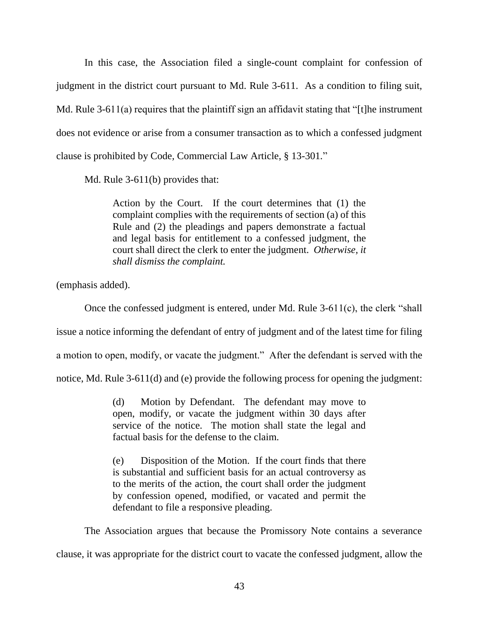In this case, the Association filed a single-count complaint for confession of judgment in the district court pursuant to Md. Rule 3-611. As a condition to filing suit, Md. Rule 3-611(a) requires that the plaintiff sign an affidavit stating that "[t]he instrument does not evidence or arise from a consumer transaction as to which a confessed judgment clause is prohibited by Code*,* Commercial Law Article, § 13-301*.*"

Md. Rule 3-611(b) provides that:

Action by the Court. If the court determines that (1) the complaint complies with the requirements of section (a) of this Rule and (2) the pleadings and papers demonstrate a factual and legal basis for entitlement to a confessed judgment, the court shall direct the clerk to enter the judgment. *Otherwise, it shall dismiss the complaint.*

(emphasis added).

Once the confessed judgment is entered, under Md. Rule 3-611(c), the clerk "shall

issue a notice informing the defendant of entry of judgment and of the latest time for filing

a motion to open, modify, or vacate the judgment." After the defendant is served with the

notice, Md. Rule 3-611(d) and (e) provide the following process for opening the judgment:

(d) Motion by Defendant. The defendant may move to open, modify, or vacate the judgment within 30 days after service of the notice. The motion shall state the legal and factual basis for the defense to the claim.

(e) Disposition of the Motion. If the court finds that there is substantial and sufficient basis for an actual controversy as to the merits of the action, the court shall order the judgment by confession opened, modified, or vacated and permit the defendant to file a responsive pleading.

The Association argues that because the Promissory Note contains a severance clause, it was appropriate for the district court to vacate the confessed judgment, allow the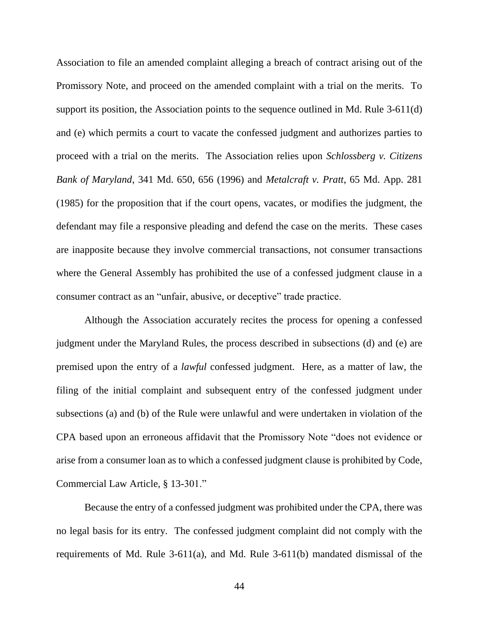Association to file an amended complaint alleging a breach of contract arising out of the Promissory Note, and proceed on the amended complaint with a trial on the merits. To support its position, the Association points to the sequence outlined in Md. Rule 3-611(d) and (e) which permits a court to vacate the confessed judgment and authorizes parties to proceed with a trial on the merits. The Association relies upon *Schlossberg v. Citizens Bank of Maryland*, 341 Md. 650, 656 (1996) and *Metalcraft v. Pratt*, 65 Md. App. 281 (1985) for the proposition that if the court opens, vacates, or modifies the judgment, the defendant may file a responsive pleading and defend the case on the merits. These cases are inapposite because they involve commercial transactions, not consumer transactions where the General Assembly has prohibited the use of a confessed judgment clause in a consumer contract as an "unfair, abusive, or deceptive" trade practice.

Although the Association accurately recites the process for opening a confessed judgment under the Maryland Rules, the process described in subsections (d) and (e) are premised upon the entry of a *lawful* confessed judgment. Here, as a matter of law, the filing of the initial complaint and subsequent entry of the confessed judgment under subsections (a) and (b) of the Rule were unlawful and were undertaken in violation of the CPA based upon an erroneous affidavit that the Promissory Note "does not evidence or arise from a consumer loan as to which a confessed judgment clause is prohibited by Code, Commercial Law Article, § 13-301."

Because the entry of a confessed judgment was prohibited under the CPA, there was no legal basis for its entry. The confessed judgment complaint did not comply with the requirements of Md. Rule 3-611(a), and Md. Rule 3-611(b) mandated dismissal of the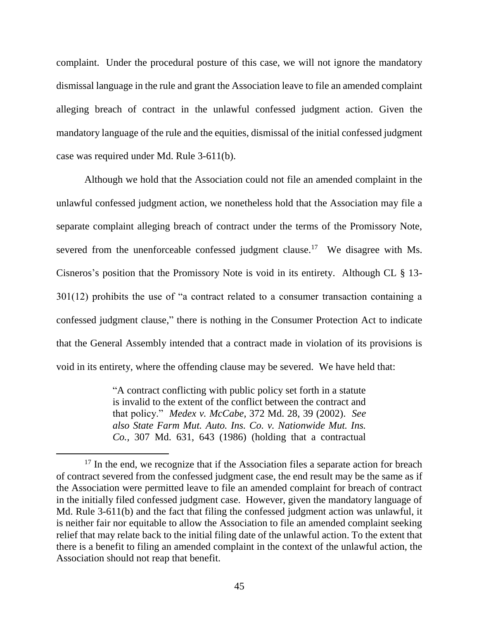complaint. Under the procedural posture of this case, we will not ignore the mandatory dismissal language in the rule and grant the Association leave to file an amended complaint alleging breach of contract in the unlawful confessed judgment action. Given the mandatory language of the rule and the equities, dismissal of the initial confessed judgment case was required under Md. Rule 3-611(b).

Although we hold that the Association could not file an amended complaint in the unlawful confessed judgment action, we nonetheless hold that the Association may file a separate complaint alleging breach of contract under the terms of the Promissory Note, severed from the unenforceable confessed judgment clause.<sup>17</sup> We disagree with Ms. Cisneros's position that the Promissory Note is void in its entirety. Although CL § 13- 301(12) prohibits the use of "a contract related to a consumer transaction containing a confessed judgment clause," there is nothing in the Consumer Protection Act to indicate that the General Assembly intended that a contract made in violation of its provisions is void in its entirety, where the offending clause may be severed. We have held that:

> "A contract conflicting with public policy set forth in a statute is invalid to the extent of the conflict between the contract and that policy." *Medex v. McCabe*, 372 Md. 28, 39 (2002). *See also [State Farm Mut. Auto. Ins. Co. v. Nationwide Mut. Ins.](https://1.next.westlaw.com/Link/Document/FullText?findType=Y&serNum=1986155291&pubNum=0000162&originatingDoc=Ic1f3c5b5f67411dcb6a3a099756c05b7&refType=RP&fi=co_pp_sp_162_592&originationContext=document&transitionType=DocumentItem&contextData=(sc.Search)#co_pp_sp_162_592)  Co.,* [307 Md. 631, 643 \(1986\)](https://1.next.westlaw.com/Link/Document/FullText?findType=Y&serNum=1986155291&pubNum=0000162&originatingDoc=Ic1f3c5b5f67411dcb6a3a099756c05b7&refType=RP&fi=co_pp_sp_162_592&originationContext=document&transitionType=DocumentItem&contextData=(sc.Search)#co_pp_sp_162_592) (holding that a contractual

 $\overline{a}$ 

<sup>&</sup>lt;sup>17</sup> In the end, we recognize that if the Association files a separate action for breach of contract severed from the confessed judgment case, the end result may be the same as if the Association were permitted leave to file an amended complaint for breach of contract in the initially filed confessed judgment case. However, given the mandatory language of Md. Rule 3-611(b) and the fact that filing the confessed judgment action was unlawful, it is neither fair nor equitable to allow the Association to file an amended complaint seeking relief that may relate back to the initial filing date of the unlawful action. To the extent that there is a benefit to filing an amended complaint in the context of the unlawful action, the Association should not reap that benefit.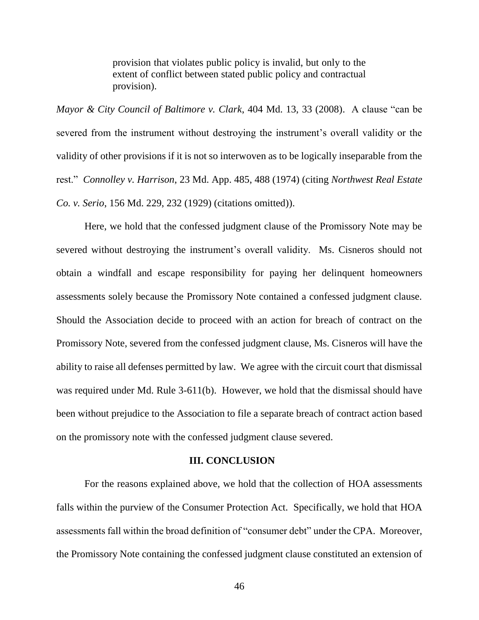provision that violates public policy is invalid, but only to the extent of conflict between stated public policy and contractual provision).

*Mayor & City Council of Baltimore v. Clark*, 404 Md. 13, 33 (2008). A clause "can be severed from the instrument without destroying the instrument's overall validity or the validity of other provisions if it is not so interwoven as to be logically inseparable from the rest." *Connolley v. Harrison*, 23 Md. App. 485, 488 (1974) (citing *Northwest Real Estate Co. v. Serio*, 156 Md. 229, 232 (1929) (citations omitted)).

Here, we hold that the confessed judgment clause of the Promissory Note may be severed without destroying the instrument's overall validity. Ms. Cisneros should not obtain a windfall and escape responsibility for paying her delinquent homeowners assessments solely because the Promissory Note contained a confessed judgment clause. Should the Association decide to proceed with an action for breach of contract on the Promissory Note, severed from the confessed judgment clause, Ms. Cisneros will have the ability to raise all defenses permitted by law. We agree with the circuit court that dismissal was required under Md. Rule 3-611(b). However, we hold that the dismissal should have been without prejudice to the Association to file a separate breach of contract action based on the promissory note with the confessed judgment clause severed.

### **III. CONCLUSION**

For the reasons explained above, we hold that the collection of HOA assessments falls within the purview of the Consumer Protection Act. Specifically, we hold that HOA assessments fall within the broad definition of "consumer debt" under the CPA. Moreover, the Promissory Note containing the confessed judgment clause constituted an extension of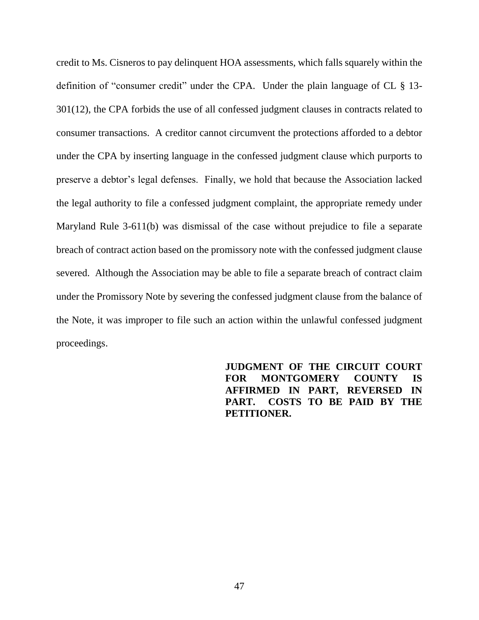credit to Ms. Cisneros to pay delinquent HOA assessments, which falls squarely within the definition of "consumer credit" under the CPA. Under the plain language of CL § 13- 301(12), the CPA forbids the use of all confessed judgment clauses in contracts related to consumer transactions. A creditor cannot circumvent the protections afforded to a debtor under the CPA by inserting language in the confessed judgment clause which purports to preserve a debtor's legal defenses. Finally, we hold that because the Association lacked the legal authority to file a confessed judgment complaint, the appropriate remedy under Maryland Rule 3-611(b) was dismissal of the case without prejudice to file a separate breach of contract action based on the promissory note with the confessed judgment clause severed. Although the Association may be able to file a separate breach of contract claim under the Promissory Note by severing the confessed judgment clause from the balance of the Note, it was improper to file such an action within the unlawful confessed judgment proceedings.

> **JUDGMENT OF THE CIRCUIT COURT FOR MONTGOMERY COUNTY IS AFFIRMED IN PART, REVERSED IN PART. COSTS TO BE PAID BY THE PETITIONER.**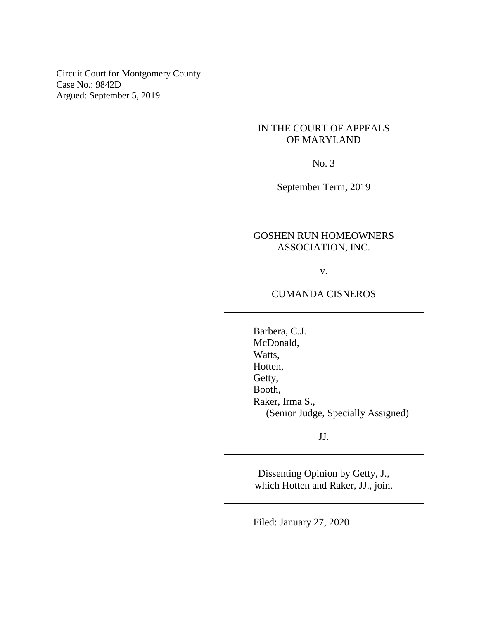Circuit Court for Montgomery County Case No.: 9842D Argued: September 5, 2019

## IN THE COURT OF APPEALS OF MARYLAND

No. 3

September Term, 2019

# GOSHEN RUN HOMEOWNERS ASSOCIATION, INC.

v.

## CUMANDA CISNEROS

Barbera, C.J. McDonald, Watts, Hotten, Getty, Booth, Raker, Irma S., (Senior Judge, Specially Assigned)

JJ.

Dissenting Opinion by Getty, J., which Hotten and Raker, JJ., join.

Filed: January 27, 2020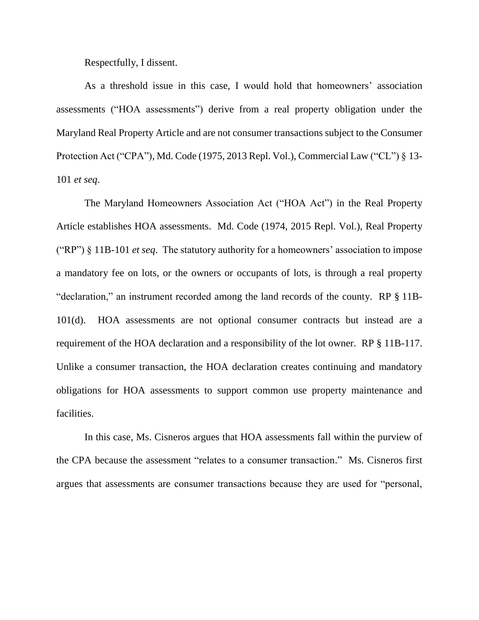Respectfully, I dissent.

As a threshold issue in this case, I would hold that homeowners' association assessments ("HOA assessments") derive from a real property obligation under the Maryland Real Property Article and are not consumer transactions subject to the Consumer Protection Act ("CPA"), Md. Code (1975, 2013 Repl. Vol.), Commercial Law ("CL") § 13- 101 *et seq*.

The Maryland Homeowners Association Act ("HOA Act") in the Real Property Article establishes HOA assessments. Md. Code (1974, 2015 Repl. Vol.), Real Property ("RP") § 11B-101 *et seq*. The statutory authority for a homeowners' association to impose a mandatory fee on lots, or the owners or occupants of lots, is through a real property "declaration," an instrument recorded among the land records of the county. RP § 11B-101(d). HOA assessments are not optional consumer contracts but instead are a requirement of the HOA declaration and a responsibility of the lot owner. RP § 11B-117. Unlike a consumer transaction, the HOA declaration creates continuing and mandatory obligations for HOA assessments to support common use property maintenance and facilities.

In this case, Ms. Cisneros argues that HOA assessments fall within the purview of the CPA because the assessment "relates to a consumer transaction." Ms. Cisneros first argues that assessments are consumer transactions because they are used for "personal,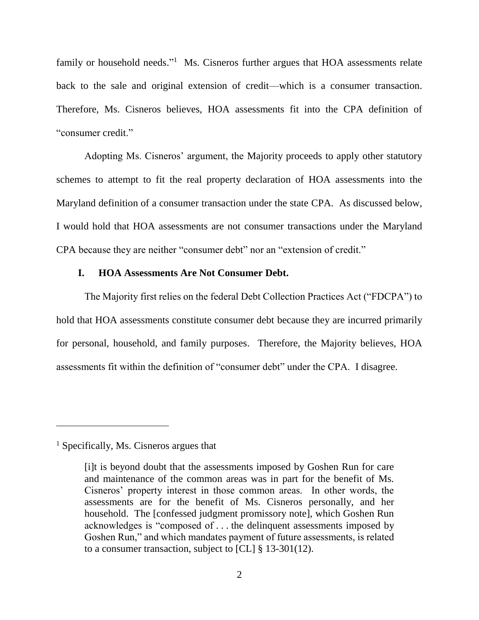family or household needs."<sup>1</sup> Ms. Cisneros further argues that HOA assessments relate back to the sale and original extension of credit—which is a consumer transaction. Therefore, Ms. Cisneros believes, HOA assessments fit into the CPA definition of "consumer credit."

Adopting Ms. Cisneros' argument, the Majority proceeds to apply other statutory schemes to attempt to fit the real property declaration of HOA assessments into the Maryland definition of a consumer transaction under the state CPA. As discussed below, I would hold that HOA assessments are not consumer transactions under the Maryland CPA because they are neither "consumer debt" nor an "extension of credit."

## **I. HOA Assessments Are Not Consumer Debt.**

The Majority first relies on the federal Debt Collection Practices Act ("FDCPA") to hold that HOA assessments constitute consumer debt because they are incurred primarily for personal, household, and family purposes. Therefore, the Majority believes, HOA assessments fit within the definition of "consumer debt" under the CPA. I disagree.

 $\overline{a}$ 

<sup>&</sup>lt;sup>1</sup> Specifically, Ms. Cisneros argues that

<sup>[</sup>i]t is beyond doubt that the assessments imposed by Goshen Run for care and maintenance of the common areas was in part for the benefit of Ms. Cisneros' property interest in those common areas. In other words, the assessments are for the benefit of Ms. Cisneros personally, and her household. The [confessed judgment promissory note], which Goshen Run acknowledges is "composed of . . . the delinquent assessments imposed by Goshen Run," and which mandates payment of future assessments, is related to a consumer transaction, subject to [CL] § 13-301(12).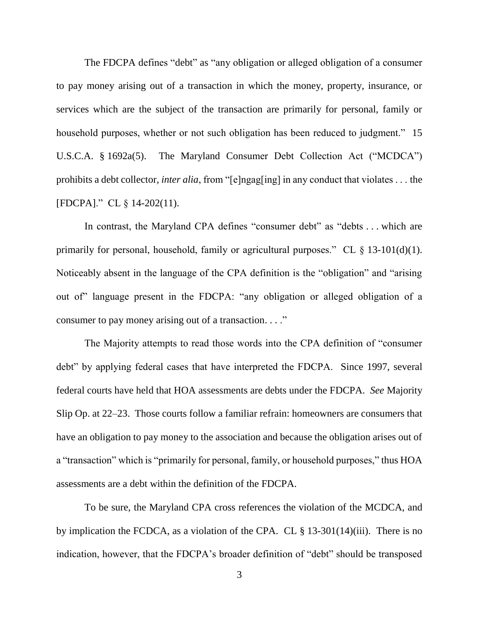The FDCPA defines "debt" as "any obligation or alleged obligation of a consumer to pay money arising out of a transaction in which the money, property, insurance, or services which are the subject of the transaction are primarily for personal, family or household purposes, whether or not such obligation has been reduced to judgment." 15 U.S.C.A. § 1692a(5). The Maryland Consumer Debt Collection Act ("MCDCA") prohibits a debt collector, *inter alia*, from "[e]ngag[ing] in any conduct that violates . . . the [FDCPA]." CL § 14-202(11).

In contrast, the Maryland CPA defines "consumer debt" as "debts . . . which are primarily for personal, household, family or agricultural purposes." CL  $\S$  13-101(d)(1). Noticeably absent in the language of the CPA definition is the "obligation" and "arising out of" language present in the FDCPA: "any obligation or alleged obligation of a consumer to pay money arising out of a transaction. . . ."

The Majority attempts to read those words into the CPA definition of "consumer debt" by applying federal cases that have interpreted the FDCPA. Since 1997, several federal courts have held that HOA assessments are debts under the FDCPA. *See* Majority Slip Op. at 22–23. Those courts follow a familiar refrain: homeowners are consumers that have an obligation to pay money to the association and because the obligation arises out of a "transaction" which is "primarily for personal, family, or household purposes," thus HOA assessments are a debt within the definition of the FDCPA.

To be sure, the Maryland CPA cross references the violation of the MCDCA, and by implication the FCDCA, as a violation of the CPA. CL § 13-301(14)(iii). There is no indication, however, that the FDCPA's broader definition of "debt" should be transposed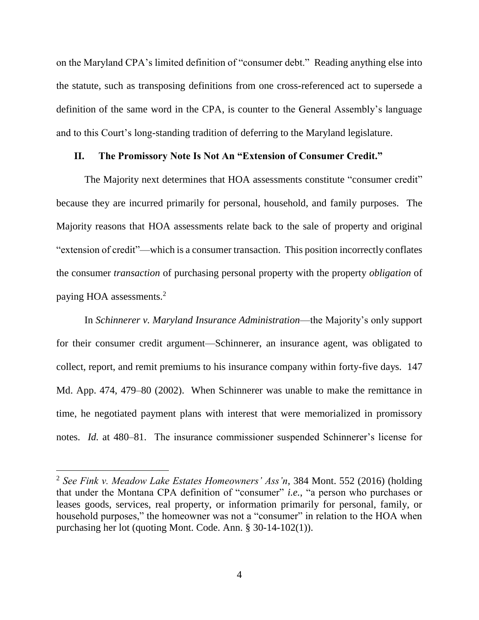on the Maryland CPA's limited definition of "consumer debt." Reading anything else into the statute, such as transposing definitions from one cross-referenced act to supersede a definition of the same word in the CPA, is counter to the General Assembly's language and to this Court's long-standing tradition of deferring to the Maryland legislature.

### **II. The Promissory Note Is Not An "Extension of Consumer Credit."**

The Majority next determines that HOA assessments constitute "consumer credit" because they are incurred primarily for personal, household, and family purposes. The Majority reasons that HOA assessments relate back to the sale of property and original "extension of credit"—which is a consumer transaction. This position incorrectly conflates the consumer *transaction* of purchasing personal property with the property *obligation* of paying HOA assessments.<sup>2</sup>

In *Schinnerer v. Maryland Insurance Administration*—the Majority's only support for their consumer credit argument—Schinnerer, an insurance agent, was obligated to collect, report, and remit premiums to his insurance company within forty-five days. 147 Md. App. 474, 479–80 (2002). When Schinnerer was unable to make the remittance in time, he negotiated payment plans with interest that were memorialized in promissory notes. *Id.* at 480–81. The insurance commissioner suspended Schinnerer's license for

 $\overline{a}$ 

<sup>2</sup> *See Fink v. Meadow Lake Estates Homeowners' Ass'n*, 384 Mont. 552 (2016) (holding that under the Montana CPA definition of "consumer" *i.e.*, "a person who purchases or leases goods, services, real property, or information primarily for personal, family, or household purposes," the homeowner was not a "consumer" in relation to the HOA when purchasing her lot (quoting Mont. Code. Ann. § 30-14-102(1)).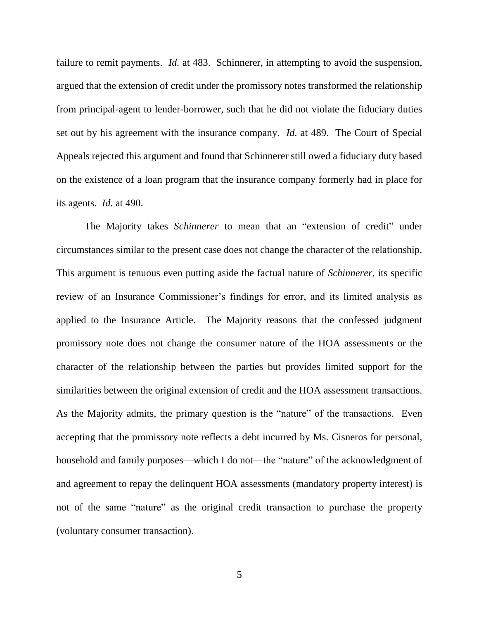failure to remit payments. *Id.* at 483. Schinnerer, in attempting to avoid the suspension, argued that the extension of credit under the promissory notes transformed the relationship from principal-agent to lender-borrower, such that he did not violate the fiduciary duties set out by his agreement with the insurance company. *Id.* at 489. The Court of Special Appeals rejected this argument and found that Schinnerer still owed a fiduciary duty based on the existence of a loan program that the insurance company formerly had in place for its agents. *Id.* at 490.

The Majority takes *Schinnerer* to mean that an "extension of credit" under circumstances similar to the present case does not change the character of the relationship. This argument is tenuous even putting aside the factual nature of *Schinnerer*, its specific review of an Insurance Commissioner's findings for error, and its limited analysis as applied to the Insurance Article. The Majority reasons that the confessed judgment promissory note does not change the consumer nature of the HOA assessments or the character of the relationship between the parties but provides limited support for the similarities between the original extension of credit and the HOA assessment transactions. As the Majority admits, the primary question is the "nature" of the transactions. Even accepting that the promissory note reflects a debt incurred by Ms. Cisneros for personal, household and family purposes—which I do not—the "nature" of the acknowledgment of and agreement to repay the delinquent HOA assessments (mandatory property interest) is not of the same "nature" as the original credit transaction to purchase the property (voluntary consumer transaction).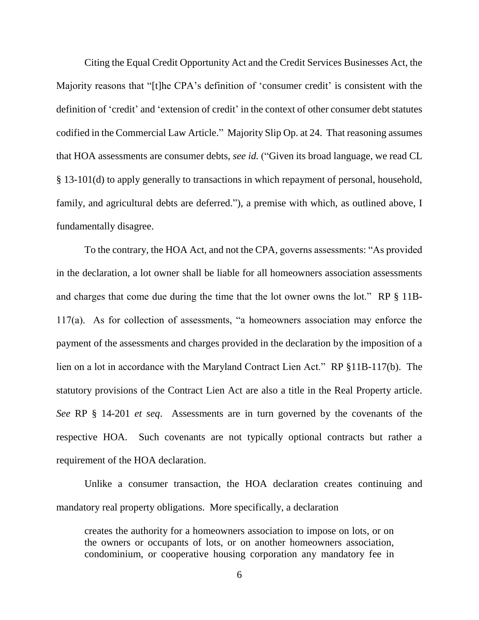Citing the Equal Credit Opportunity Act and the Credit Services Businesses Act, the Majority reasons that "[t]he CPA's definition of 'consumer credit' is consistent with the definition of 'credit' and 'extension of credit' in the context of other consumer debt statutes codified in the Commercial Law Article." Majority Slip Op. at 24. That reasoning assumes that HOA assessments are consumer debts, *see id.* ("Given its broad language, we read CL § 13-101(d) to apply generally to transactions in which repayment of personal, household, family, and agricultural debts are deferred."), a premise with which, as outlined above, I fundamentally disagree.

To the contrary, the HOA Act, and not the CPA, governs assessments: "As provided in the declaration, a lot owner shall be liable for all homeowners association assessments and charges that come due during the time that the lot owner owns the lot." RP § 11B-117(a). As for collection of assessments, "a homeowners association may enforce the payment of the assessments and charges provided in the declaration by the imposition of a lien on a lot in accordance with the Maryland Contract Lien Act." RP §11B-117(b). The statutory provisions of the Contract Lien Act are also a title in the Real Property article. *See* RP § 14-201 *et seq*. Assessments are in turn governed by the covenants of the respective HOA. Such covenants are not typically optional contracts but rather a requirement of the HOA declaration.

Unlike a consumer transaction, the HOA declaration creates continuing and mandatory real property obligations. More specifically, a declaration

creates the authority for a homeowners association to impose on lots, or on the owners or occupants of lots, or on another homeowners association, condominium, or cooperative housing corporation any mandatory fee in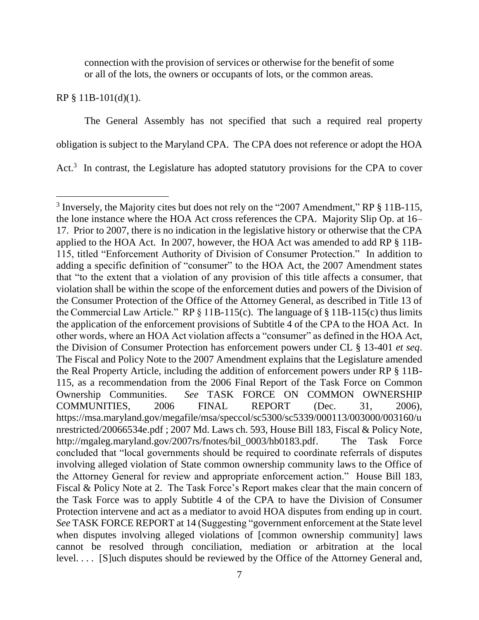connection with the provision of services or otherwise for the benefit of some or all of the lots, the owners or occupants of lots, or the common areas.

RP § 11B-101(d)(1).

 $\overline{a}$ 

The General Assembly has not specified that such a required real property obligation is subject to the Maryland CPA. The CPA does not reference or adopt the HOA Act. $3$  In contrast, the Legislature has adopted statutory provisions for the CPA to cover

 $3$  Inversely, the Majority cites but does not rely on the "2007 Amendment," RP  $\S$  11B-115, the lone instance where the HOA Act cross references the CPA. Majority Slip Op. at 16– 17. Prior to 2007, there is no indication in the legislative history or otherwise that the CPA applied to the HOA Act. In 2007, however, the HOA Act was amended to add RP § 11B-115, titled "Enforcement Authority of Division of Consumer Protection." In addition to adding a specific definition of "consumer" to the HOA Act, the 2007 Amendment states that "to the extent that a violation of any provision of this title affects a consumer, that violation shall be within the scope of the enforcement duties and powers of the Division of the Consumer Protection of the Office of the Attorney General, as described in Title 13 of the Commercial Law Article." RP  $\S$  11B-115(c). The language of  $\S$  11B-115(c) thus limits the application of the enforcement provisions of Subtitle 4 of the CPA to the HOA Act. In other words, where an HOA Act violation affects a "consumer" as defined in the HOA Act, the Division of Consumer Protection has enforcement powers under CL § 13-401 *et seq*. The Fiscal and Policy Note to the 2007 Amendment explains that the Legislature amended the Real Property Article, including the addition of enforcement powers under RP § 11B-115, as a recommendation from the 2006 Final Report of the Task Force on Common Ownership Communities. *See* TASK FORCE ON COMMON OWNERSHIP COMMUNITIES, 2006 FINAL REPORT (Dec. 31, 2006), https://msa.maryland.gov/megafile/msa/speccol/sc5300/sc5339/000113/003000/003160/u nrestricted/20066534e.pdf ; 2007 Md. Laws ch. 593, House Bill 183, Fiscal & Policy Note, http://mgaleg.maryland.gov/2007rs/fnotes/bil\_0003/hb0183.pdf. The Task Force concluded that "local governments should be required to coordinate referrals of disputes involving alleged violation of State common ownership community laws to the Office of the Attorney General for review and appropriate enforcement action." House Bill 183, Fiscal & Policy Note at 2. The Task Force's Report makes clear that the main concern of the Task Force was to apply Subtitle 4 of the CPA to have the Division of Consumer Protection intervene and act as a mediator to avoid HOA disputes from ending up in court. *See* TASK FORCE REPORT at 14 (Suggesting "government enforcement at the State level when disputes involving alleged violations of [common ownership community] laws cannot be resolved through conciliation, mediation or arbitration at the local level. . . . [S]uch disputes should be reviewed by the Office of the Attorney General and,